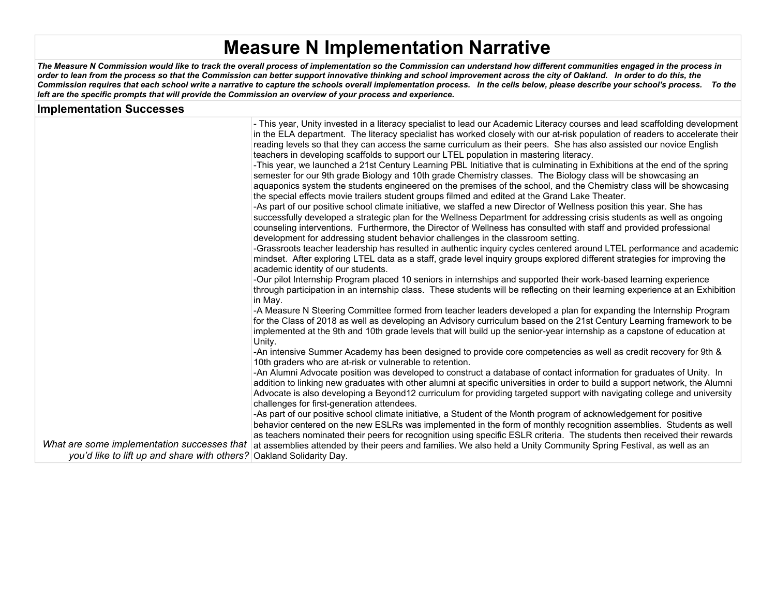# **Measure N Implementation Narrative**

*The Measure N Commission would like to track the overall process of implementation so the Commission can understand how different communities engaged in the process in order to lean from the process so that the Commission can better support innovative thinking and school improvement across the city of Oakland. In order to do this, the Commission requires that each school write a narrative to capture the schools overall implementation process. In the cells below, please describe your school's process. To the left are the specific prompts that will provide the Commission an overview of your process and experience.*

| <b>Implementation Successes</b>                                      |                                                                                                                                                                                                                                                                                                                                                                                                                                                                                                                                                                                                                                                                                                                                                                                                                                                                                                                                                                                                                                                                                                                                                                                                                                                                                                                                                                                                                                                                                                                                                                                                                                                                                                                                                                                                                                                                                                                                                                                                                                                                                                                                                                                                                                                                                                                                                                                                                                                                                      |
|----------------------------------------------------------------------|--------------------------------------------------------------------------------------------------------------------------------------------------------------------------------------------------------------------------------------------------------------------------------------------------------------------------------------------------------------------------------------------------------------------------------------------------------------------------------------------------------------------------------------------------------------------------------------------------------------------------------------------------------------------------------------------------------------------------------------------------------------------------------------------------------------------------------------------------------------------------------------------------------------------------------------------------------------------------------------------------------------------------------------------------------------------------------------------------------------------------------------------------------------------------------------------------------------------------------------------------------------------------------------------------------------------------------------------------------------------------------------------------------------------------------------------------------------------------------------------------------------------------------------------------------------------------------------------------------------------------------------------------------------------------------------------------------------------------------------------------------------------------------------------------------------------------------------------------------------------------------------------------------------------------------------------------------------------------------------------------------------------------------------------------------------------------------------------------------------------------------------------------------------------------------------------------------------------------------------------------------------------------------------------------------------------------------------------------------------------------------------------------------------------------------------------------------------------------------------|
|                                                                      | - This year, Unity invested in a literacy specialist to lead our Academic Literacy courses and lead scaffolding development<br>in the ELA department. The literacy specialist has worked closely with our at-risk population of readers to accelerate their<br>reading levels so that they can access the same curriculum as their peers. She has also assisted our novice English<br>teachers in developing scaffolds to support our LTEL population in mastering literacy.<br>-This year, we launched a 21st Century Learning PBL Initiative that is culminating in Exhibitions at the end of the spring<br>semester for our 9th grade Biology and 10th grade Chemistry classes. The Biology class will be showcasing an<br>aquaponics system the students engineered on the premises of the school, and the Chemistry class will be showcasing<br>the special effects movie trailers student groups filmed and edited at the Grand Lake Theater.<br>-As part of our positive school climate initiative, we staffed a new Director of Wellness position this year. She has<br>successfully developed a strategic plan for the Wellness Department for addressing crisis students as well as ongoing<br>counseling interventions. Furthermore, the Director of Wellness has consulted with staff and provided professional<br>development for addressing student behavior challenges in the classroom setting.<br>-Grassroots teacher leadership has resulted in authentic inquiry cycles centered around LTEL performance and academic<br>mindset. After exploring LTEL data as a staff, grade level inquiry groups explored different strategies for improving the<br>academic identity of our students.<br>-Our pilot Internship Program placed 10 seniors in internships and supported their work-based learning experience<br>through participation in an internship class. These students will be reflecting on their learning experience at an Exhibition<br>in May.<br>-A Measure N Steering Committee formed from teacher leaders developed a plan for expanding the Internship Program<br>for the Class of 2018 as well as developing an Advisory curriculum based on the 21st Century Learning framework to be<br>implemented at the 9th and 10th grade levels that will build up the senior-year internship as a capstone of education at<br>Unity.<br>-An intensive Summer Academy has been designed to provide core competencies as well as credit recovery for 9th & |
|                                                                      | 10th graders who are at-risk or vulnerable to retention.<br>-An Alumni Advocate position was developed to construct a database of contact information for graduates of Unity. In                                                                                                                                                                                                                                                                                                                                                                                                                                                                                                                                                                                                                                                                                                                                                                                                                                                                                                                                                                                                                                                                                                                                                                                                                                                                                                                                                                                                                                                                                                                                                                                                                                                                                                                                                                                                                                                                                                                                                                                                                                                                                                                                                                                                                                                                                                     |
|                                                                      | addition to linking new graduates with other alumni at specific universities in order to build a support network, the Alumni<br>Advocate is also developing a Beyond12 curriculum for providing targeted support with navigating college and university<br>challenges for first-generation attendees.                                                                                                                                                                                                                                                                                                                                                                                                                                                                                                                                                                                                                                                                                                                                                                                                                                                                                                                                                                                                                                                                                                                                                                                                                                                                                                                                                                                                                                                                                                                                                                                                                                                                                                                                                                                                                                                                                                                                                                                                                                                                                                                                                                                |
|                                                                      | -As part of our positive school climate initiative, a Student of the Month program of acknowledgement for positive<br>behavior centered on the new ESLRs was implemented in the form of monthly recognition assemblies. Students as well<br>as teachers nominated their peers for recognition using specific ESLR criteria. The students then received their rewards                                                                                                                                                                                                                                                                                                                                                                                                                                                                                                                                                                                                                                                                                                                                                                                                                                                                                                                                                                                                                                                                                                                                                                                                                                                                                                                                                                                                                                                                                                                                                                                                                                                                                                                                                                                                                                                                                                                                                                                                                                                                                                                 |
| you'd like to lift up and share with others? Oakland Solidarity Day. | What are some implementation successes that at assemblies attended by their peers and families. We also held a Unity Community Spring Festival, as well as an                                                                                                                                                                                                                                                                                                                                                                                                                                                                                                                                                                                                                                                                                                                                                                                                                                                                                                                                                                                                                                                                                                                                                                                                                                                                                                                                                                                                                                                                                                                                                                                                                                                                                                                                                                                                                                                                                                                                                                                                                                                                                                                                                                                                                                                                                                                        |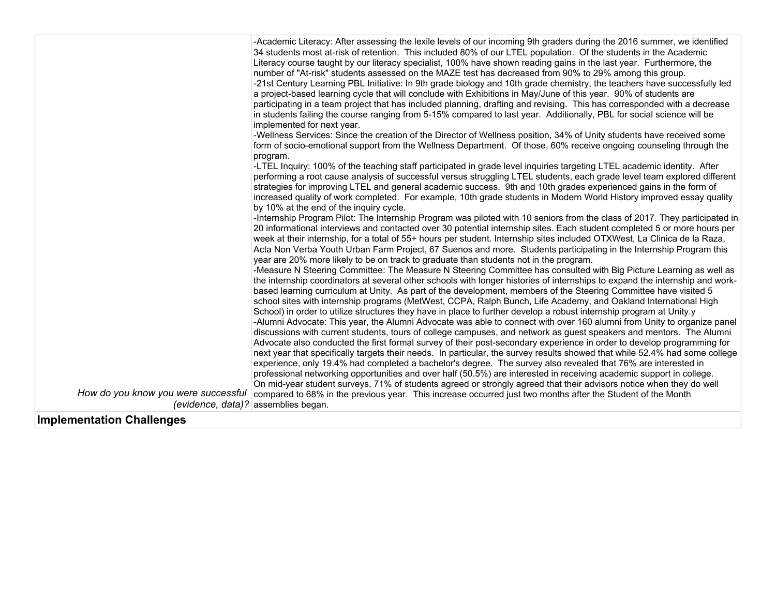|                                     | -Academic Literacy: After assessing the lexile levels of our incoming 9th graders during the 2016 summer, we identified<br>34 students most at-risk of retention. This included 80% of our LTEL population. Of the students in the Academic<br>Literacy course taught by our literacy specialist, 100% have shown reading gains in the last year. Furthermore, the<br>number of "At-risk" students assessed on the MAZE test has decreased from 90% to 29% among this group.<br>-21st Century Learning PBL Initiative: In 9th grade biology and 10th grade chemistry, the teachers have successfully led<br>a project-based learning cycle that will conclude with Exhibitions in May/June of this year. 90% of students are<br>participating in a team project that has included planning, drafting and revising. This has corresponded with a decrease<br>in students failing the course ranging from 5-15% compared to last year. Additionally, PBL for social science will be<br>implemented for next year.<br>-Wellness Services: Since the creation of the Director of Wellness position, 34% of Unity students have received some<br>form of socio-emotional support from the Wellness Department. Of those, 60% receive ongoing counseling through the<br>program.<br>-LTEL Inquiry: 100% of the teaching staff participated in grade level inquiries targeting LTEL academic identity. After<br>performing a root cause analysis of successful versus struggling LTEL students, each grade level team explored different<br>strategies for improving LTEL and general academic success. 9th and 10th grades experienced gains in the form of<br>increased quality of work completed. For example, 10th grade students in Modern World History improved essay quality<br>by 10% at the end of the inquiry cycle.<br>-Internship Program Pilot: The Internship Program was piloted with 10 seniors from the class of 2017. They participated in<br>20 informational interviews and contacted over 30 potential internship sites. Each student completed 5 or more hours per<br>week at their internship, for a total of 55+ hours per student. Internship sites included OTXWest, La Clinica de la Raza,<br>Acta Non Verba Youth Urban Farm Project, 67 Suenos and more. Students participating in the Internship Program this<br>year are 20% more likely to be on track to graduate than students not in the program.<br>-Measure N Steering Committee: The Measure N Steering Committee has consulted with Big Picture Learning as well as<br>the internship coordinators at several other schools with longer histories of internships to expand the internship and work-<br>based learning curriculum at Unity. As part of the development, members of the Steering Committee have visited 5<br>school sites with internship programs (MetWest, CCPA, Ralph Bunch, Life Academy, and Oakland International High<br>School) in order to utilize structures they have in place to further develop a robust internship program at Unity.y<br>-Alumni Advocate: This year, the Alumni Advocate was able to connect with over 160 alumni from Unity to organize panel<br>discussions with current students, tours of college campuses, and network as guest speakers and mentors. The Alumni<br>Advocate also conducted the first formal survey of their post-secondary experience in order to develop programming for<br>next year that specifically targets their needs. In particular, the survey results showed that while 52.4% had some college<br>experience, only 19.4% had completed a bachelor's degree. The survey also revealed that 76% are interested in<br>professional networking opportunities and over half (50.5%) are interested in receiving academic support in college.<br>On mid-year student surveys, 71% of students agreed or strongly agreed that their advisors notice when they do well |
|-------------------------------------|------------------------------------------------------------------------------------------------------------------------------------------------------------------------------------------------------------------------------------------------------------------------------------------------------------------------------------------------------------------------------------------------------------------------------------------------------------------------------------------------------------------------------------------------------------------------------------------------------------------------------------------------------------------------------------------------------------------------------------------------------------------------------------------------------------------------------------------------------------------------------------------------------------------------------------------------------------------------------------------------------------------------------------------------------------------------------------------------------------------------------------------------------------------------------------------------------------------------------------------------------------------------------------------------------------------------------------------------------------------------------------------------------------------------------------------------------------------------------------------------------------------------------------------------------------------------------------------------------------------------------------------------------------------------------------------------------------------------------------------------------------------------------------------------------------------------------------------------------------------------------------------------------------------------------------------------------------------------------------------------------------------------------------------------------------------------------------------------------------------------------------------------------------------------------------------------------------------------------------------------------------------------------------------------------------------------------------------------------------------------------------------------------------------------------------------------------------------------------------------------------------------------------------------------------------------------------------------------------------------------------------------------------------------------------------------------------------------------------------------------------------------------------------------------------------------------------------------------------------------------------------------------------------------------------------------------------------------------------------------------------------------------------------------------------------------------------------------------------------------------------------------------------------------------------------------------------------------------------------------------------------------------------------------------------------------------------------------------------------------------------------------------------------------------------------------------------------------------------------------------------------------------------------------------------------------------------------------------------------------------------------------------------------------------------------------------------------------------------------------------------------------------------------------------------------------------------------------------------------------------------------------------------------------------------|
| How do you know you were successful | compared to 68% in the previous year. This increase occurred just two months after the Student of the Month<br>(evidence, data)? assemblies began.                                                                                                                                                                                                                                                                                                                                                                                                                                                                                                                                                                                                                                                                                                                                                                                                                                                                                                                                                                                                                                                                                                                                                                                                                                                                                                                                                                                                                                                                                                                                                                                                                                                                                                                                                                                                                                                                                                                                                                                                                                                                                                                                                                                                                                                                                                                                                                                                                                                                                                                                                                                                                                                                                                                                                                                                                                                                                                                                                                                                                                                                                                                                                                                                                                                                                                                                                                                                                                                                                                                                                                                                                                                                                                                                                                           |

## **Implementation Challenges**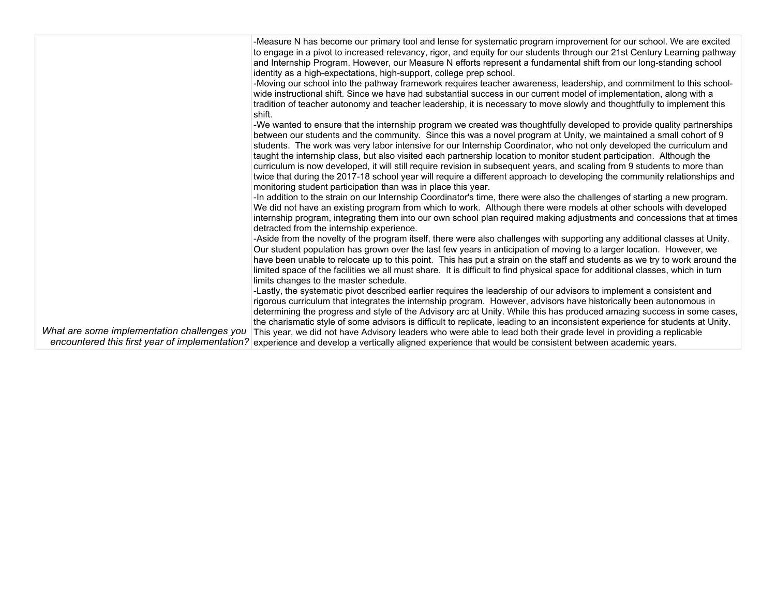|                                             | -Measure N has become our primary tool and lense for systematic program improvement for our school. We are excited                                     |
|---------------------------------------------|--------------------------------------------------------------------------------------------------------------------------------------------------------|
|                                             | to engage in a pivot to increased relevancy, rigor, and equity for our students through our 21st Century Learning pathway                              |
|                                             | and Internship Program. However, our Measure N efforts represent a fundamental shift from our long-standing school                                     |
|                                             | identity as a high-expectations, high-support, college prep school.                                                                                    |
|                                             | -Moving our school into the pathway framework requires teacher awareness, leadership, and commitment to this school-                                   |
|                                             | wide instructional shift. Since we have had substantial success in our current model of implementation, along with a                                   |
|                                             | tradition of teacher autonomy and teacher leadership, it is necessary to move slowly and thoughtfully to implement this                                |
|                                             | shift.                                                                                                                                                 |
|                                             |                                                                                                                                                        |
|                                             | -We wanted to ensure that the internship program we created was thoughtfully developed to provide quality partnerships                                 |
|                                             | between our students and the community. Since this was a novel program at Unity, we maintained a small cohort of 9                                     |
|                                             | students. The work was very labor intensive for our Internship Coordinator, who not only developed the curriculum and                                  |
|                                             | taught the internship class, but also visited each partnership location to monitor student participation. Although the                                 |
|                                             | curriculum is now developed, it will still require revision in subsequent years, and scaling from 9 students to more than                              |
|                                             | twice that during the 2017-18 school year will require a different approach to developing the community relationships and                              |
|                                             | monitoring student participation than was in place this year.                                                                                          |
|                                             | -In addition to the strain on our Internship Coordinator's time, there were also the challenges of starting a new program.                             |
|                                             | We did not have an existing program from which to work. Although there were models at other schools with developed                                     |
|                                             | internship program, integrating them into our own school plan required making adjustments and concessions that at times                                |
|                                             | detracted from the internship experience.                                                                                                              |
|                                             | -Aside from the novelty of the program itself, there were also challenges with supporting any additional classes at Unity.                             |
|                                             | Our student population has grown over the last few years in anticipation of moving to a larger location. However, we                                   |
|                                             | have been unable to relocate up to this point. This has put a strain on the staff and students as we try to work around the                            |
|                                             | limited space of the facilities we all must share. It is difficult to find physical space for additional classes, which in turn                        |
|                                             | limits changes to the master schedule.                                                                                                                 |
|                                             | -Lastly, the systematic pivot described earlier requires the leadership of our advisors to implement a consistent and                                  |
|                                             | rigorous curriculum that integrates the internship program. However, advisors have historically been autonomous in                                     |
|                                             | determining the progress and style of the Advisory arc at Unity. While this has produced amazing success in some cases,                                |
|                                             | the charismatic style of some advisors is difficult to replicate, leading to an inconsistent experience for students at Unity.                         |
| What are some implementation challenges you | This year, we did not have Advisory leaders who were able to lead both their grade level in providing a replicable                                     |
|                                             |                                                                                                                                                        |
|                                             | encountered this first year of implementation? experience and develop a vertically aligned experience that would be consistent between academic years. |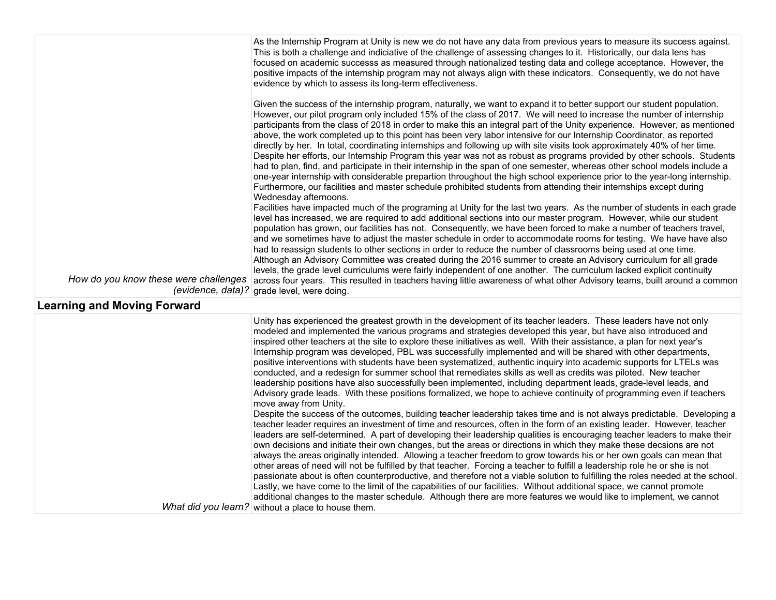| How do you know these were challenges | As the Internship Program at Unity is new we do not have any data from previous years to measure its success against.<br>This is both a challenge and indiciative of the challenge of assessing changes to it. Historically, our data lens has<br>focused on academic successs as measured through nationalized testing data and college acceptance. However, the<br>positive impacts of the internship program may not always align with these indicators. Consequently, we do not have<br>evidence by which to assess its long-term effectiveness.<br>Given the success of the internship program, naturally, we want to expand it to better support our student population.<br>However, our pilot program only included 15% of the class of 2017. We will need to increase the number of internship<br>participants from the class of 2018 in order to make this an integral part of the Unity experience. However, as mentioned<br>above, the work completed up to this point has been very labor intensive for our Internship Coordinator, as reported<br>directly by her. In total, coordinating internships and following up with site visits took approximately 40% of her time.<br>Despite her efforts, our Internship Program this year was not as robust as programs provided by other schools. Students<br>had to plan, find, and participate in their internship in the span of one semester, whereas other school models include a<br>one-year internship with considerable prepartion throughout the high school experience prior to the year-long internship.<br>Furthermore, our facilities and master schedule prohibited students from attending their internships except during<br>Wednesday afternoons.<br>Facilities have impacted much of the programing at Unity for the last two years. As the number of students in each grade<br>level has increased, we are required to add additional sections into our master program. However, while our student<br>population has grown, our facilities has not. Consequently, we have been forced to make a number of teachers travel,<br>and we sometimes have to adjust the master schedule in order to accommodate rooms for testing. We have have also<br>had to reassign students to other sections in order to reduce the number of classrooms being used at one time.<br>Although an Advisory Committee was created during the 2016 summer to create an Advisory curriculum for all grade<br>levels, the grade level curriculums were fairly independent of one another. The curriculum lacked explicit continuity<br>across four years. This resulted in teachers having little awareness of what other Advisory teams, built around a common |
|---------------------------------------|------------------------------------------------------------------------------------------------------------------------------------------------------------------------------------------------------------------------------------------------------------------------------------------------------------------------------------------------------------------------------------------------------------------------------------------------------------------------------------------------------------------------------------------------------------------------------------------------------------------------------------------------------------------------------------------------------------------------------------------------------------------------------------------------------------------------------------------------------------------------------------------------------------------------------------------------------------------------------------------------------------------------------------------------------------------------------------------------------------------------------------------------------------------------------------------------------------------------------------------------------------------------------------------------------------------------------------------------------------------------------------------------------------------------------------------------------------------------------------------------------------------------------------------------------------------------------------------------------------------------------------------------------------------------------------------------------------------------------------------------------------------------------------------------------------------------------------------------------------------------------------------------------------------------------------------------------------------------------------------------------------------------------------------------------------------------------------------------------------------------------------------------------------------------------------------------------------------------------------------------------------------------------------------------------------------------------------------------------------------------------------------------------------------------------------------------------------------------------------------------------------------------------------------------------------------------------------------------------------------------------------------------------------------------------------------------------------------------|
| <b>Learning and Moving Forward</b>    | (evidence, data)? grade level, were doing.                                                                                                                                                                                                                                                                                                                                                                                                                                                                                                                                                                                                                                                                                                                                                                                                                                                                                                                                                                                                                                                                                                                                                                                                                                                                                                                                                                                                                                                                                                                                                                                                                                                                                                                                                                                                                                                                                                                                                                                                                                                                                                                                                                                                                                                                                                                                                                                                                                                                                                                                                                                                                                                                             |
|                                       | Unity has experienced the greatest growth in the development of its teacher leaders. These leaders have not only<br>modeled and implemented the various programs and strategies developed this year, but have also introduced and<br>inspired other teachers at the site to explore these initiatives as well. With their assistance, a plan for next year's<br>Internship program was developed, PBL was successfully implemented and will be shared with other departments,<br>positive interventions with students have been systematized, authentic inquiry into academic supports for LTELs was<br>conducted, and a redesign for summer school that remediates skills as well as credits was piloted. New teacher<br>leadership positions have also successfully been implemented, including department leads, grade-level leads, and<br>Advisory grade leads. With these positions formalized, we hope to achieve continuity of programming even if teachers<br>move away from Unity.<br>Despite the success of the outcomes, building teacher leadership takes time and is not always predictable. Developing a<br>teacher leader requires an investment of time and resources, often in the form of an existing leader. However, teacher<br>leaders are self-determined. A part of developing their leadership qualities is encouraging teacher leaders to make their<br>own decisions and initiate their own changes, but the areas or directions in which they make these decsions are not<br>always the areas originally intended. Allowing a teacher freedom to grow towards his or her own goals can mean that<br>other areas of need will not be fulfilled by that teacher. Forcing a teacher to fulfill a leadership role he or she is not<br>passionate about is often counterproductive, and therefore not a viable solution to fulfilling the roles needed at the school.<br>Lastly, we have come to the limit of the capabilities of our facilities. Without additional space, we cannot promote<br>additional changes to the master schedule. Although there are more features we would like to implement, we cannot<br>What did you learn? without a place to house them.                                                                                                                                                                                                                                                                                                                                                                                                                                                                                                                         |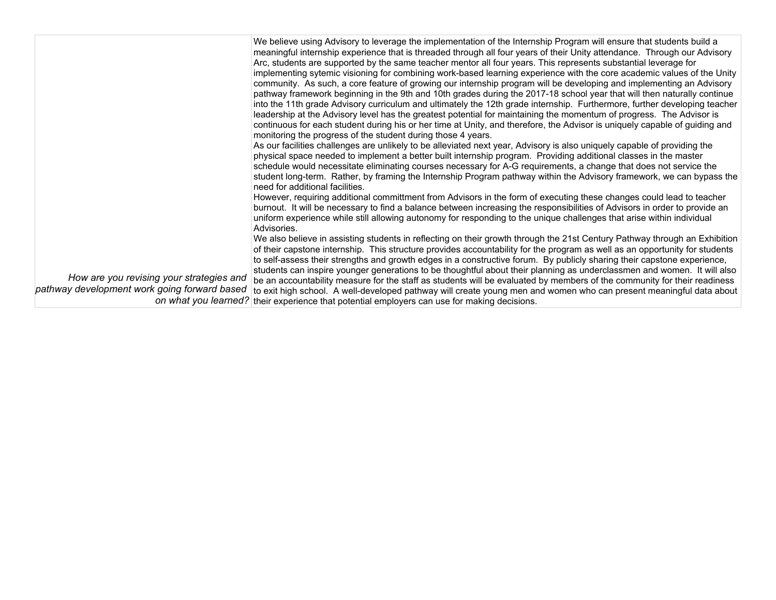| How are you revising your strategies and<br>pathway development work going forward based | We believe using Advisory to leverage the implementation of the Internship Program will ensure that students build a<br>meaningful internship experience that is threaded through all four years of their Unity attendance. Through our Advisory<br>Arc, students are supported by the same teacher mentor all four years. This represents substantial leverage for<br>implementing sytemic visioning for combining work-based learning experience with the core academic values of the Unity<br>community. As such, a core feature of growing our internship program will be developing and implementing an Advisory<br>pathway framework beginning in the 9th and 10th grades during the 2017-18 school year that will then naturally continue<br>into the 11th grade Advisory curriculum and ultimately the 12th grade internship. Furthermore, further developing teacher<br>leadership at the Advisory level has the greatest potential for maintaining the momentum of progress. The Advisor is<br>continuous for each student during his or her time at Unity, and therefore, the Advisor is uniquely capable of guiding and<br>monitoring the progress of the student during those 4 years.<br>As our facilities challenges are unlikely to be alleviated next year, Advisory is also uniquely capable of providing the<br>physical space needed to implement a better built internship program. Providing additional classes in the master<br>schedule would necessitate eliminating courses necessary for A-G requirements, a change that does not service the<br>student long-term. Rather, by framing the Internship Program pathway within the Advisory framework, we can bypass the<br>need for additional facilities.<br>However, requiring additional committment from Advisors in the form of executing these changes could lead to teacher<br>burnout. It will be necessary to find a balance between increasing the responsibilities of Advisors in order to provide an<br>uniform experience while still allowing autonomy for responding to the unique challenges that arise within individual<br>Advisories.<br>We also believe in assisting students in reflecting on their growth through the 21st Century Pathway through an Exhibition<br>of their capstone internship. This structure provides accountability for the program as well as an opportunity for students<br>to self-assess their strengths and growth edges in a constructive forum. By publicly sharing their capstone experience,<br>students can inspire younger generations to be thoughtful about their planning as underclassmen and women. It will also<br>be an accountability measure for the staff as students will be evaluated by members of the community for their readiness |
|------------------------------------------------------------------------------------------|-----------------------------------------------------------------------------------------------------------------------------------------------------------------------------------------------------------------------------------------------------------------------------------------------------------------------------------------------------------------------------------------------------------------------------------------------------------------------------------------------------------------------------------------------------------------------------------------------------------------------------------------------------------------------------------------------------------------------------------------------------------------------------------------------------------------------------------------------------------------------------------------------------------------------------------------------------------------------------------------------------------------------------------------------------------------------------------------------------------------------------------------------------------------------------------------------------------------------------------------------------------------------------------------------------------------------------------------------------------------------------------------------------------------------------------------------------------------------------------------------------------------------------------------------------------------------------------------------------------------------------------------------------------------------------------------------------------------------------------------------------------------------------------------------------------------------------------------------------------------------------------------------------------------------------------------------------------------------------------------------------------------------------------------------------------------------------------------------------------------------------------------------------------------------------------------------------------------------------------------------------------------------------------------------------------------------------------------------------------------------------------------------------------------------------------------------------------------------------------------------------------------------------------------------------------------------------------------------------------------------------------------------------------------------------------------------------------------------------------------------------------------------------------|
|                                                                                          | to exit high school. A well-developed pathway will create young men and women who can present meaningful data about<br>on what you learned? their experience that potential employers can use for making decisions.                                                                                                                                                                                                                                                                                                                                                                                                                                                                                                                                                                                                                                                                                                                                                                                                                                                                                                                                                                                                                                                                                                                                                                                                                                                                                                                                                                                                                                                                                                                                                                                                                                                                                                                                                                                                                                                                                                                                                                                                                                                                                                                                                                                                                                                                                                                                                                                                                                                                                                                                                               |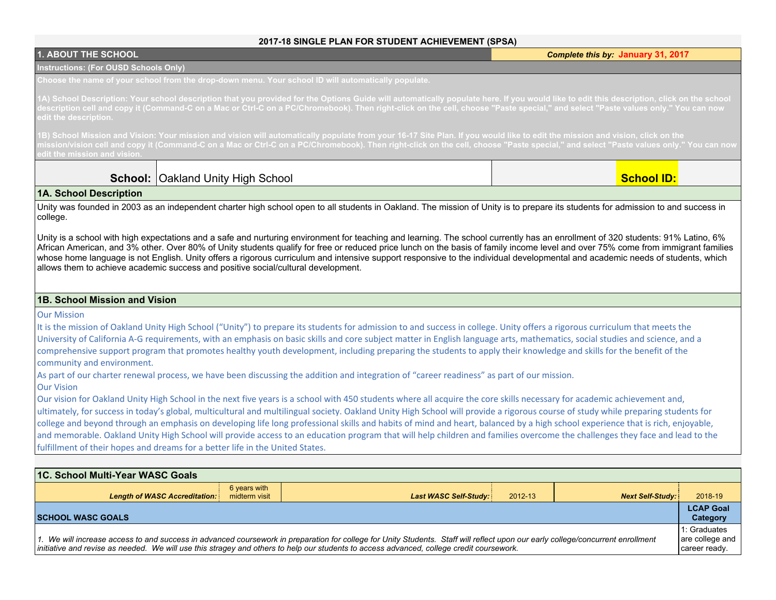#### **2017-18 SINGLE PLAN FOR STUDENT ACHIEVEMENT (SPSA)**

| <b>1. ABOUT THE SCHOOL</b>                                                                                                                                                                                                                                                                                                                                           |                                  | ZU 17-10 SINGLE FEANT FOR STODENT ACTILEVENIENT |         | Complete this by: January 31, 2017 |                  |
|----------------------------------------------------------------------------------------------------------------------------------------------------------------------------------------------------------------------------------------------------------------------------------------------------------------------------------------------------------------------|----------------------------------|-------------------------------------------------|---------|------------------------------------|------------------|
| <b>Instructions: (For OUSD Schools Only)</b>                                                                                                                                                                                                                                                                                                                         |                                  |                                                 |         |                                    |                  |
| Choose the name of your school from the drop-down menu. Your school ID will automatically populate.                                                                                                                                                                                                                                                                  |                                  |                                                 |         |                                    |                  |
| 1A) School Description: Your school description that you provided for the Options Guide will automatically populate here. If you would like to edit this description, click on the school                                                                                                                                                                            |                                  |                                                 |         |                                    |                  |
| lescription cell and copy it (Command-C on a Mac or Ctrl-C on a PC/Chromebook). Then right-click on the cell, choose "Paste special," and select "Paste values only." You can now                                                                                                                                                                                    |                                  |                                                 |         |                                    |                  |
| dit the description.                                                                                                                                                                                                                                                                                                                                                 |                                  |                                                 |         |                                    |                  |
| 1B) School Mission and Vision: Your mission and vision will automatically populate from your 16-17 Site Plan. If you would like to edit the mission and vision, click on the<br>mission/vision cell and copy it (Command-C on a Mac or Ctrl-C on a PC/Chromebook). Then right-click on the cell, choose "Paste special," and select "Paste values only." You can now |                                  |                                                 |         |                                    |                  |
| dit the mission and vision.                                                                                                                                                                                                                                                                                                                                          |                                  |                                                 |         |                                    |                  |
|                                                                                                                                                                                                                                                                                                                                                                      |                                  |                                                 |         |                                    |                  |
| School:                                                                                                                                                                                                                                                                                                                                                              | <b>Oakland Unity High School</b> |                                                 |         | <b>School ID:</b>                  |                  |
| 1A. School Description                                                                                                                                                                                                                                                                                                                                               |                                  |                                                 |         |                                    |                  |
| Unity was founded in 2003 as an independent charter high school open to all students in Oakland. The mission of Unity is to prepare its students for admission to and success in                                                                                                                                                                                     |                                  |                                                 |         |                                    |                  |
| college.                                                                                                                                                                                                                                                                                                                                                             |                                  |                                                 |         |                                    |                  |
| Unity is a school with high expectations and a safe and nurturing environment for teaching and learning. The school currently has an enrollment of 320 students: 91% Latino, 6%                                                                                                                                                                                      |                                  |                                                 |         |                                    |                  |
| African American, and 3% other. Over 80% of Unity students qualify for free or reduced price lunch on the basis of family income level and over 75% come from immigrant families                                                                                                                                                                                     |                                  |                                                 |         |                                    |                  |
| whose home language is not English. Unity offers a rigorous curriculum and intensive support responsive to the individual developmental and academic needs of students, which<br>allows them to achieve academic success and positive social/cultural development.                                                                                                   |                                  |                                                 |         |                                    |                  |
|                                                                                                                                                                                                                                                                                                                                                                      |                                  |                                                 |         |                                    |                  |
|                                                                                                                                                                                                                                                                                                                                                                      |                                  |                                                 |         |                                    |                  |
| 1B. School Mission and Vision                                                                                                                                                                                                                                                                                                                                        |                                  |                                                 |         |                                    |                  |
| <b>Our Mission</b>                                                                                                                                                                                                                                                                                                                                                   |                                  |                                                 |         |                                    |                  |
| It is the mission of Oakland Unity High School ("Unity") to prepare its students for admission to and success in college. Unity offers a rigorous curriculum that meets the                                                                                                                                                                                          |                                  |                                                 |         |                                    |                  |
| University of California A-G requirements, with an emphasis on basic skills and core subject matter in English language arts, mathematics, social studies and science, and a<br>comprehensive support program that promotes healthy youth development, including preparing the students to apply their knowledge and skills for the benefit of the                   |                                  |                                                 |         |                                    |                  |
| community and environment.                                                                                                                                                                                                                                                                                                                                           |                                  |                                                 |         |                                    |                  |
| As part of our charter renewal process, we have been discussing the addition and integration of "career readiness" as part of our mission.                                                                                                                                                                                                                           |                                  |                                                 |         |                                    |                  |
| <b>Our Vision</b>                                                                                                                                                                                                                                                                                                                                                    |                                  |                                                 |         |                                    |                  |
| Our vision for Oakland Unity High School in the next five years is a school with 450 students where all acquire the core skills necessary for academic achievement and,                                                                                                                                                                                              |                                  |                                                 |         |                                    |                  |
| ultimately, for success in today's global, multicultural and multilingual society. Oakland Unity High School will provide a rigorous course of study while preparing students for                                                                                                                                                                                    |                                  |                                                 |         |                                    |                  |
| college and beyond through an emphasis on developing life long professional skills and habits of mind and heart, balanced by a high school experience that is rich, enjoyable,                                                                                                                                                                                       |                                  |                                                 |         |                                    |                  |
| and memorable. Oakland Unity High School will provide access to an education program that will help children and families overcome the challenges they face and lead to the                                                                                                                                                                                          |                                  |                                                 |         |                                    |                  |
| fulfillment of their hopes and dreams for a better life in the United States.                                                                                                                                                                                                                                                                                        |                                  |                                                 |         |                                    |                  |
|                                                                                                                                                                                                                                                                                                                                                                      |                                  |                                                 |         |                                    |                  |
| <b>1C. School Multi-Year WASC Goals</b>                                                                                                                                                                                                                                                                                                                              |                                  |                                                 |         |                                    |                  |
| <b>Length of WASC Accreditation:</b>                                                                                                                                                                                                                                                                                                                                 | 6 years with<br>midterm visit    | <b>Last WASC Self-Study:</b>                    | 2012-13 | <b>Next Self-Study:</b>            | 2018-19          |
|                                                                                                                                                                                                                                                                                                                                                                      |                                  |                                                 |         |                                    | <b>LCAP Goal</b> |
| <b>SCHOOL WASC GOALS</b>                                                                                                                                                                                                                                                                                                                                             |                                  |                                                 |         |                                    | Category         |
|                                                                                                                                                                                                                                                                                                                                                                      |                                  |                                                 |         |                                    | 1: Graduates     |

*1. We will increase access to and success in advanced coursework in preparation for college for Unity Students. Staff will reflect upon our early college/concurrent enrollment initiative and revise as needed. We will use this stragey and others to help our students to access advanced, college credit coursework.* are college and career ready.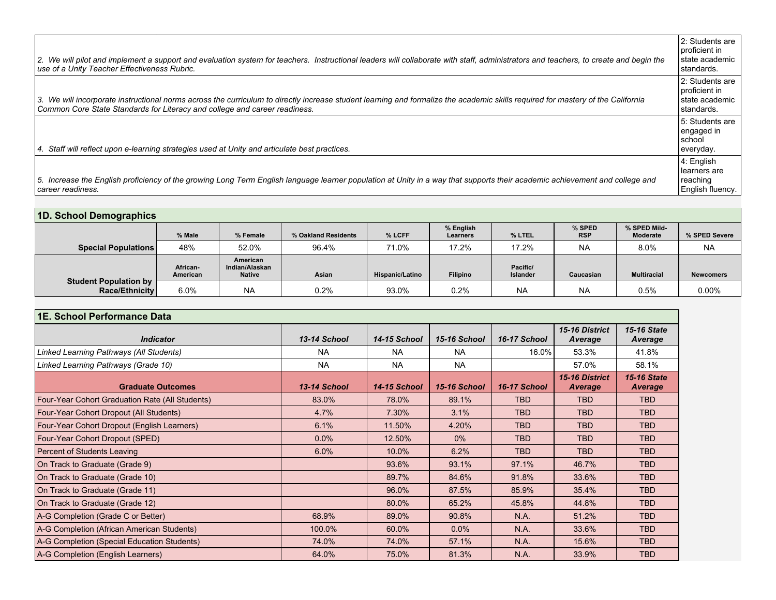| 2. We will pilot and implement a support and evaluation system for teachers. Instructional leaders will collaborate with staff, administrators and teachers, to create and begin the<br>use of a Unity Teacher Effectiveness Rubric.                          | 2: Students are<br>I proficient in<br>l state academic<br>l standards. |
|---------------------------------------------------------------------------------------------------------------------------------------------------------------------------------------------------------------------------------------------------------------|------------------------------------------------------------------------|
| 3. We will incorporate instructional norms across the curriculum to directly increase student learning and formalize the academic skills required for mastery of the California<br>Common Core State Standards for Literacy and college and career readiness. | 2: Students are<br>I proficient in<br>l state academic<br>l standards. |
| Staff will reflect upon e-learning strategies used at Unity and articulate best practices.<br>4.                                                                                                                                                              | 5: Students are<br>engaged in<br>l school<br>everyday.                 |
| 5. Increase the English proficiency of the growing Long Term English language learner population at Unity in a way that supports their academic achievement and college and<br>l career readiness.                                                            | 4: English<br>learners are<br>reaching<br>English fluency.             |

**1D. School Demographics**

| 15. 0011001 DUITOGI GPINOJ              |                      |                                             |                     |                        |                       |                             |                      |                                 |                  |
|-----------------------------------------|----------------------|---------------------------------------------|---------------------|------------------------|-----------------------|-----------------------------|----------------------|---------------------------------|------------------|
|                                         | % Male               | % Female                                    | % Oakland Residents | % LCFF                 | % English<br>Learners | % LTEL                      | % SPED<br><b>RSP</b> | % SPED Mild-<br><b>Moderate</b> | % SPED Severe    |
| <b>Special Populations</b>              | 48%                  | 52.0%                                       | 96.4%               | 71.0%                  | 17.2%                 | 17.2%                       | <b>NA</b>            | 8.0%                            | <b>NA</b>        |
|                                         | African-<br>American | American<br>Indian/Alaskan<br><b>Native</b> | Asian               | <b>Hispanic/Latino</b> | <b>Filipino</b>       | Pacific/<br><b>Islander</b> | Caucasian            | <b>Multiracial</b>              | <b>Newcomers</b> |
| Student Population by<br>Race/Ethnicity | 6.0%                 | <b>NA</b>                                   | 0.2%                | 93.0%                  | 0.2%                  | <b>NA</b>                   | <b>NA</b>            | 0.5%                            | $0.00\%$         |

| 1E. School Performance Data                     |              |                     |              |              |                                  |                               |  |
|-------------------------------------------------|--------------|---------------------|--------------|--------------|----------------------------------|-------------------------------|--|
| <b>Indicator</b>                                | 13-14 School | <b>14-15 School</b> | 15-16 School | 16-17 School | 15-16 District<br>Average        | <b>15-16 State</b><br>Average |  |
| Linked Learning Pathways (All Students)         | <b>NA</b>    | <b>NA</b>           | <b>NA</b>    | 16.0%        | 53.3%                            | 41.8%                         |  |
| Linked Learning Pathways (Grade 10)             | <b>NA</b>    | <b>NA</b>           | <b>NA</b>    |              | 57.0%                            | 58.1%                         |  |
| <b>Graduate Outcomes</b>                        | 13-14 School | <b>14-15 School</b> | 15-16 School | 16-17 School | 15-16 District<br><b>Average</b> | <b>15-16 State</b><br>Average |  |
| Four-Year Cohort Graduation Rate (All Students) | 83.0%        | 78.0%               | 89.1%        | <b>TBD</b>   | <b>TBD</b>                       | <b>TBD</b>                    |  |
| Four-Year Cohort Dropout (All Students)         | 4.7%         | 7.30%               | 3.1%         | <b>TBD</b>   | <b>TBD</b>                       | <b>TBD</b>                    |  |
| Four-Year Cohort Dropout (English Learners)     | 6.1%         | 11.50%              | 4.20%        | <b>TBD</b>   | <b>TBD</b>                       | <b>TBD</b>                    |  |
| Four-Year Cohort Dropout (SPED)                 | $0.0\%$      | 12.50%              | $0\%$        | <b>TBD</b>   | <b>TBD</b>                       | <b>TBD</b>                    |  |
| Percent of Students Leaving                     | 6.0%         | 10.0%               | 6.2%         | <b>TBD</b>   | <b>TBD</b>                       | <b>TBD</b>                    |  |
| On Track to Graduate (Grade 9)                  |              | 93.6%               | 93.1%        | 97.1%        | 46.7%                            | <b>TBD</b>                    |  |
| On Track to Graduate (Grade 10)                 |              | 89.7%               | 84.6%        | 91.8%        | 33.6%                            | <b>TBD</b>                    |  |
| On Track to Graduate (Grade 11)                 |              | 96.0%               | 87.5%        | 85.9%        | 35.4%                            | <b>TBD</b>                    |  |
| On Track to Graduate (Grade 12)                 |              | 80.0%               | 65.2%        | 45.8%        | 44.8%                            | <b>TBD</b>                    |  |
| A-G Completion (Grade C or Better)              | 68.9%        | 89.0%               | 90.8%        | N.A.         | 51.2%                            | TBD.                          |  |
| A-G Completion (African American Students)      | 100.0%       | 60.0%               | 0.0%         | N.A.         | 33.6%                            | <b>TBD</b>                    |  |
| A-G Completion (Special Education Students)     | 74.0%        | 74.0%               | 57.1%        | N.A.         | 15.6%                            | TBD.                          |  |
| A-G Completion (English Learners)               | 64.0%        | 75.0%               | 81.3%        | N.A.         | 33.9%                            | <b>TBD</b>                    |  |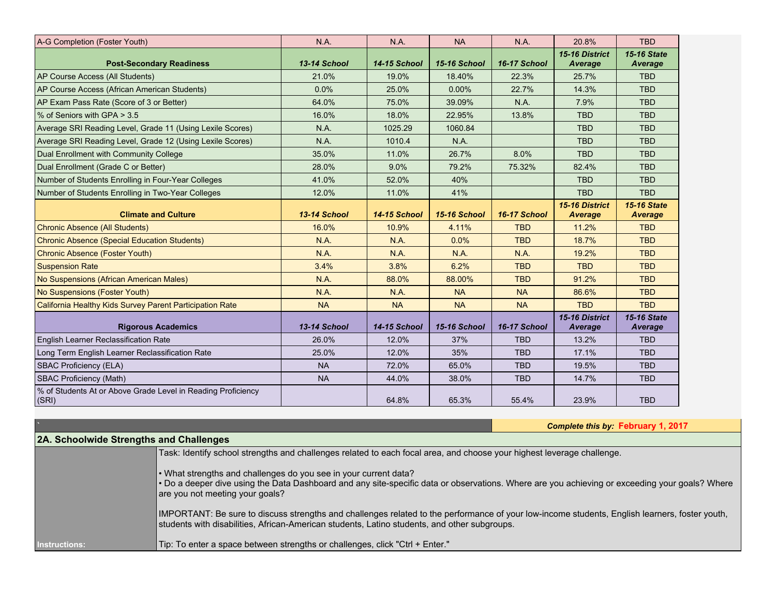| A-G Completion (Foster Youth)                                         | N.A.         | N.A.                | <b>NA</b>           | N.A.         | 20.8%                     | <b>TBD</b>                    |
|-----------------------------------------------------------------------|--------------|---------------------|---------------------|--------------|---------------------------|-------------------------------|
| <b>Post-Secondary Readiness</b>                                       | 13-14 School | <b>14-15 School</b> | 15-16 School        | 16-17 School | 15-16 District<br>Average | <b>15-16 State</b><br>Average |
| AP Course Access (All Students)                                       | 21.0%        | 19.0%               | 18.40%              | 22.3%        | 25.7%                     | <b>TBD</b>                    |
| AP Course Access (African American Students)                          | 0.0%         | 25.0%               | 0.00%               | 22.7%        | 14.3%                     | <b>TBD</b>                    |
| AP Exam Pass Rate (Score of 3 or Better)                              | 64.0%        | 75.0%               | 39.09%              | N.A.         | 7.9%                      | <b>TBD</b>                    |
| % of Seniors with GPA > 3.5                                           | 16.0%        | 18.0%               | 22.95%              | 13.8%        | <b>TBD</b>                | <b>TBD</b>                    |
| Average SRI Reading Level, Grade 11 (Using Lexile Scores)             | N.A.         | 1025.29             | 1060.84             |              | <b>TBD</b>                | <b>TBD</b>                    |
| Average SRI Reading Level, Grade 12 (Using Lexile Scores)             | N.A.         | 1010.4              | N.A.                |              | <b>TBD</b>                | <b>TBD</b>                    |
| Dual Enrollment with Community College                                | 35.0%        | 11.0%               | 26.7%               | 8.0%         | <b>TBD</b>                | <b>TBD</b>                    |
| Dual Enrollment (Grade C or Better)                                   | 28.0%        | 9.0%                | 79.2%               | 75.32%       | 82.4%                     | <b>TBD</b>                    |
| Number of Students Enrolling in Four-Year Colleges                    | 41.0%        | 52.0%               | 40%                 |              | <b>TBD</b>                | <b>TBD</b>                    |
| Number of Students Enrolling in Two-Year Colleges                     | 12.0%        | 11.0%               | 41%                 |              | <b>TBD</b>                | <b>TBD</b>                    |
| <b>Climate and Culture</b>                                            | 13-14 School | <b>14-15 School</b> | <b>15-16 School</b> | 16-17 School | 15-16 District<br>Average | <b>15-16 State</b><br>Average |
| <b>Chronic Absence (All Students)</b>                                 | 16.0%        | 10.9%               | 4.11%               | <b>TBD</b>   | 11.2%                     | <b>TBD</b>                    |
| <b>Chronic Absence (Special Education Students)</b>                   | N.A.         | N.A.                | 0.0%                | <b>TBD</b>   | 18.7%                     | <b>TBD</b>                    |
| Chronic Absence (Foster Youth)                                        | <b>N.A.</b>  | <b>N.A.</b>         | <b>N.A.</b>         | N.A.         | 19.2%                     | <b>TBD</b>                    |
| <b>Suspension Rate</b>                                                | 3.4%         | 3.8%                | 6.2%                | <b>TBD</b>   | <b>TBD</b>                | <b>TBD</b>                    |
| No Suspensions (African American Males)                               | N.A.         | 88.0%               | 88.00%              | <b>TBD</b>   | 91.2%                     | <b>TBD</b>                    |
| No Suspensions (Foster Youth)                                         | N.A.         | <b>N.A.</b>         | <b>NA</b>           | <b>NA</b>    | 86.6%                     | <b>TBD</b>                    |
| California Healthy Kids Survey Parent Participation Rate              | <b>NA</b>    | <b>NA</b>           | <b>NA</b>           | <b>NA</b>    | <b>TBD</b>                | <b>TBD</b>                    |
| <b>Rigorous Academics</b>                                             | 13-14 School | <b>14-15 School</b> | 15-16 School        | 16-17 School | 15-16 District<br>Average | <b>15-16 State</b><br>Average |
| English Learner Reclassification Rate                                 | 26.0%        | 12.0%               | 37%                 | <b>TBD</b>   | 13.2%                     | <b>TBD</b>                    |
| Long Term English Learner Reclassification Rate                       | 25.0%        | 12.0%               | 35%                 | <b>TBD</b>   | 17.1%                     | <b>TBD</b>                    |
| <b>SBAC Proficiency (ELA)</b>                                         | <b>NA</b>    | 72.0%               | 65.0%               | <b>TBD</b>   | 19.5%                     | <b>TBD</b>                    |
| <b>SBAC Proficiency (Math)</b>                                        | <b>NA</b>    | 44.0%               | 38.0%               | <b>TBD</b>   | 14.7%                     | <b>TBD</b>                    |
| % of Students At or Above Grade Level in Reading Proficiency<br>(SRI) |              | 64.8%               | 65.3%               | 55.4%        | 23.9%                     | <b>TBD</b>                    |

### **`** *Complete this by:* **February 1, 2017**

| <b>2A. Schoolwide Strengths and Challenges</b> |                                                                                                                                                                                                                                                       |
|------------------------------------------------|-------------------------------------------------------------------------------------------------------------------------------------------------------------------------------------------------------------------------------------------------------|
|                                                | Task: Identify school strengths and challenges related to each focal area, and choose your highest leverage challenge.                                                                                                                                |
|                                                | • What strengths and challenges do you see in your current data?<br>. Do a deeper dive using the Data Dashboard and any site-specific data or observations. Where are you achieving or exceeding your goals? Where<br>are you not meeting your goals? |
|                                                | IMPORTANT: Be sure to discuss strengths and challenges related to the performance of your low-income students, English learners, foster youth,<br>students with disabilities, African-American students, Latino students, and other subgroups.        |
| <b>Instructions:</b>                           | Tip: To enter a space between strengths or challenges, click "Ctrl + Enter."                                                                                                                                                                          |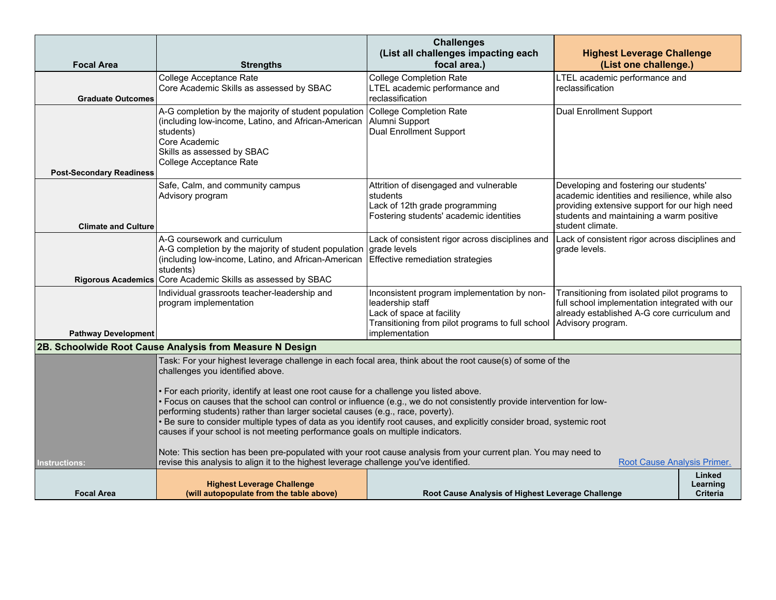| <b>Focal Area</b>               | <b>Strengths</b>                                                                                                                                                                                                                                                                                                                                                                                                                                                                                                                                                                                                                                                                                                                                                                                                                                                                                             | <b>Challenges</b><br>(List all challenges impacting each<br>focal area.)                                                                                                             | <b>Highest Leverage Challenge</b><br>(List one challenge.)                                                                                                                                                |                                              |  |  |
|---------------------------------|--------------------------------------------------------------------------------------------------------------------------------------------------------------------------------------------------------------------------------------------------------------------------------------------------------------------------------------------------------------------------------------------------------------------------------------------------------------------------------------------------------------------------------------------------------------------------------------------------------------------------------------------------------------------------------------------------------------------------------------------------------------------------------------------------------------------------------------------------------------------------------------------------------------|--------------------------------------------------------------------------------------------------------------------------------------------------------------------------------------|-----------------------------------------------------------------------------------------------------------------------------------------------------------------------------------------------------------|----------------------------------------------|--|--|
| <b>Graduate Outcomes</b>        | College Acceptance Rate<br>Core Academic Skills as assessed by SBAC                                                                                                                                                                                                                                                                                                                                                                                                                                                                                                                                                                                                                                                                                                                                                                                                                                          | <b>College Completion Rate</b><br>LTEL academic performance and<br>reclassification                                                                                                  | LTEL academic performance and<br>reclassification                                                                                                                                                         |                                              |  |  |
| <b>Post-Secondary Readiness</b> | A-G completion by the majority of student population<br>(including low-income, Latino, and African-American<br>students)<br>Core Academic<br>Skills as assessed by SBAC<br>College Acceptance Rate                                                                                                                                                                                                                                                                                                                                                                                                                                                                                                                                                                                                                                                                                                           | <b>College Completion Rate</b><br>Alumni Support<br><b>Dual Enrollment Support</b>                                                                                                   | Dual Enrollment Support                                                                                                                                                                                   |                                              |  |  |
| <b>Climate and Culture</b>      | Safe, Calm, and community campus<br>Advisory program                                                                                                                                                                                                                                                                                                                                                                                                                                                                                                                                                                                                                                                                                                                                                                                                                                                         | Attrition of disengaged and vulnerable<br>students<br>Lack of 12th grade programming<br>Fostering students' academic identities                                                      | Developing and fostering our students'<br>academic identities and resilience, while also<br>providing extensive support for our high need<br>students and maintaining a warm positive<br>student climate. |                                              |  |  |
| <b>Rigorous Academics</b>       | A-G coursework and curriculum<br>A-G completion by the majority of student population<br>(including low-income, Latino, and African-American<br>students)<br>Core Academic Skills as assessed by SBAC                                                                                                                                                                                                                                                                                                                                                                                                                                                                                                                                                                                                                                                                                                        | Lack of consistent rigor across disciplines and<br>grade levels<br>Effective remediation strategies                                                                                  | Lack of consistent rigor across disciplines and<br>grade levels.                                                                                                                                          |                                              |  |  |
| <b>Pathway Development</b>      | Individual grassroots teacher-leadership and<br>program implementation                                                                                                                                                                                                                                                                                                                                                                                                                                                                                                                                                                                                                                                                                                                                                                                                                                       | Inconsistent program implementation by non-<br>leadership staff<br>Lack of space at facility<br>Transitioning from pilot programs to full school Advisory program.<br>implementation | Transitioning from isolated pilot programs to<br>full school implementation integrated with our<br>already established A-G core curriculum and                                                            |                                              |  |  |
|                                 | 2B. Schoolwide Root Cause Analysis from Measure N Design                                                                                                                                                                                                                                                                                                                                                                                                                                                                                                                                                                                                                                                                                                                                                                                                                                                     |                                                                                                                                                                                      |                                                                                                                                                                                                           |                                              |  |  |
| <b>Instructions:</b>            | Task: For your highest leverage challenge in each focal area, think about the root cause(s) of some of the<br>challenges you identified above.<br>• For each priority, identify at least one root cause for a challenge you listed above.<br>· Focus on causes that the school can control or influence (e.g., we do not consistently provide intervention for low-<br>performing students) rather than larger societal causes (e.g., race, poverty).<br>. Be sure to consider multiple types of data as you identify root causes, and explicitly consider broad, systemic root<br>causes if your school is not meeting performance goals on multiple indicators.<br>Note: This section has been pre-populated with your root cause analysis from your current plan. You may need to<br>revise this analysis to align it to the highest leverage challenge you've identified.<br>Root Cause Analysis Primer. |                                                                                                                                                                                      |                                                                                                                                                                                                           |                                              |  |  |
| <b>Focal Area</b>               | <b>Highest Leverage Challenge</b><br>(will autopopulate from the table above)                                                                                                                                                                                                                                                                                                                                                                                                                                                                                                                                                                                                                                                                                                                                                                                                                                | Root Cause Analysis of Highest Leverage Challenge                                                                                                                                    |                                                                                                                                                                                                           | <b>Linked</b><br>Learning<br><b>Criteria</b> |  |  |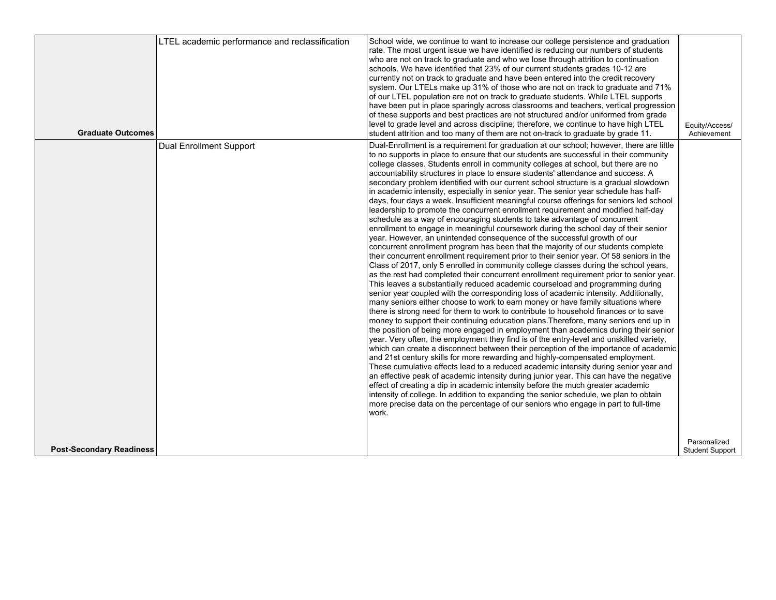| <b>Graduate Outcomes</b>        | LTEL academic performance and reclassification | School wide, we continue to want to increase our college persistence and graduation<br>rate. The most urgent issue we have identified is reducing our numbers of students<br>who are not on track to graduate and who we lose through attrition to continuation<br>schools. We have identified that 23% of our current students grades 10-12 are<br>currently not on track to graduate and have been entered into the credit recovery<br>system. Our LTELs make up 31% of those who are not on track to graduate and 71%<br>of our LTEL population are not on track to graduate students. While LTEL supports<br>have been put in place sparingly across classrooms and teachers, vertical progression<br>of these supports and best practices are not structured and/or uniformed from grade<br>level to grade level and across discipline; therefore, we continue to have high LTEL<br>student attrition and too many of them are not on-track to graduate by grade 11.                                                                                                                                                                                                                                                                                                                                                                                                                                                                                                                                                                                                                                                                                                                                                                                                                                                                                                                                                                                                                                                                                                                                                                                                                                                                                                                                                                                                                                                                                                                                                                                                                                             | Equity/Access/<br>Achievement   |
|---------------------------------|------------------------------------------------|-----------------------------------------------------------------------------------------------------------------------------------------------------------------------------------------------------------------------------------------------------------------------------------------------------------------------------------------------------------------------------------------------------------------------------------------------------------------------------------------------------------------------------------------------------------------------------------------------------------------------------------------------------------------------------------------------------------------------------------------------------------------------------------------------------------------------------------------------------------------------------------------------------------------------------------------------------------------------------------------------------------------------------------------------------------------------------------------------------------------------------------------------------------------------------------------------------------------------------------------------------------------------------------------------------------------------------------------------------------------------------------------------------------------------------------------------------------------------------------------------------------------------------------------------------------------------------------------------------------------------------------------------------------------------------------------------------------------------------------------------------------------------------------------------------------------------------------------------------------------------------------------------------------------------------------------------------------------------------------------------------------------------------------------------------------------------------------------------------------------------------------------------------------------------------------------------------------------------------------------------------------------------------------------------------------------------------------------------------------------------------------------------------------------------------------------------------------------------------------------------------------------------------------------------------------------------------------------------------------------------|---------------------------------|
|                                 | <b>Dual Enrollment Support</b>                 | Dual-Enrollment is a requirement for graduation at our school; however, there are little<br>to no supports in place to ensure that our students are successful in their community<br>college classes. Students enroll in community colleges at school, but there are no<br>accountability structures in place to ensure students' attendance and success. A<br>secondary problem identified with our current school structure is a gradual slowdown<br>in academic intensity, especially in senior year. The senior year schedule has half-<br>days, four days a week. Insufficient meaningful course offerings for seniors led school<br>leadership to promote the concurrent enrollment requirement and modified half-day<br>schedule as a way of encouraging students to take advantage of concurrent<br>enrollment to engage in meaningful coursework during the school day of their senior<br>year. However, an unintended consequence of the successful growth of our<br>concurrent enrollment program has been that the majority of our students complete<br>their concurrent enrollment requirement prior to their senior year. Of 58 seniors in the<br>Class of 2017, only 5 enrolled in community college classes during the school years,<br>as the rest had completed their concurrent enrollment requirement prior to senior year.<br>This leaves a substantially reduced academic courseload and programming during<br>senior year coupled with the corresponding loss of academic intensity. Additionally,<br>many seniors either choose to work to earn money or have family situations where<br>there is strong need for them to work to contribute to household finances or to save<br>money to support their continuing education plans. Therefore, many seniors end up in<br>the position of being more engaged in employment than academics during their senior<br>year. Very often, the employment they find is of the entry-level and unskilled variety,<br>which can create a disconnect between their perception of the importance of academic<br>and 21st century skills for more rewarding and highly-compensated employment.<br>These cumulative effects lead to a reduced academic intensity during senior year and<br>an effective peak of academic intensity during junior year. This can have the negative<br>effect of creating a dip in academic intensity before the much greater academic<br>intensity of college. In addition to expanding the senior schedule, we plan to obtain<br>more precise data on the percentage of our seniors who engage in part to full-time<br>work. |                                 |
| <b>Post-Secondary Readiness</b> |                                                |                                                                                                                                                                                                                                                                                                                                                                                                                                                                                                                                                                                                                                                                                                                                                                                                                                                                                                                                                                                                                                                                                                                                                                                                                                                                                                                                                                                                                                                                                                                                                                                                                                                                                                                                                                                                                                                                                                                                                                                                                                                                                                                                                                                                                                                                                                                                                                                                                                                                                                                                                                                                                       | Personalized<br>Student Support |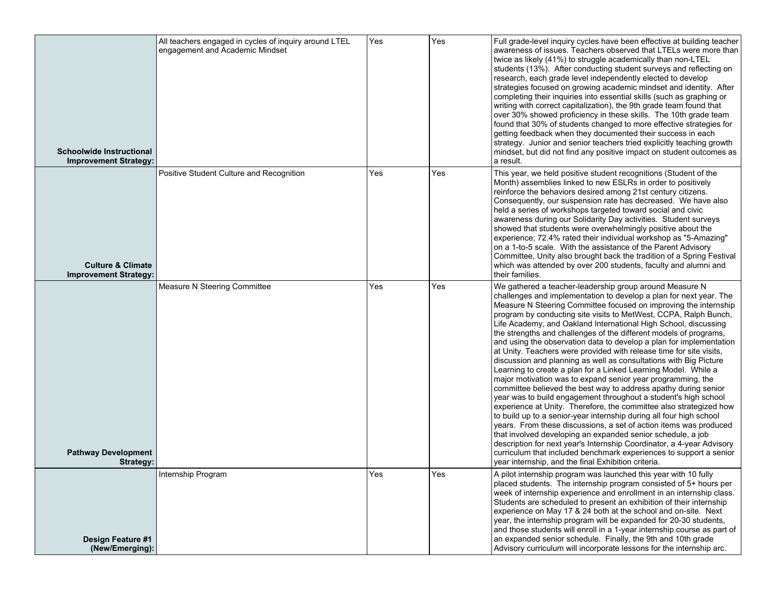| <b>Schoolwide Instructional</b><br><b>Improvement Strategy:</b> | All teachers engaged in cycles of inquiry around LTEL<br>engagement and Academic Mindset | Yes | Yes | Full grade-level inquiry cycles have been effective at building teacher<br>awareness of issues. Teachers observed that LTELs were more than<br>twice as likely (41%) to struggle academically than non-LTEL<br>students (13%). After conducting student surveys and reflecting on<br>research, each grade level independently elected to develop<br>strategies focused on growing academic mindset and identity. After<br>completing their inquiries into essential skills (such as graphing or<br>writing with correct capitalization), the 9th grade team found that<br>over 30% showed proficiency in these skills. The 10th grade team<br>found that 30% of students changed to more effective strategies for<br>getting feedback when they documented their success in each<br>strategy. Junior and senior teachers tried explicitly teaching growth<br>mindset, but did not find any positive impact on student outcomes as<br>a result.                                                                                                                                                                                                                                                                                                                                                                                                                                                 |
|-----------------------------------------------------------------|------------------------------------------------------------------------------------------|-----|-----|------------------------------------------------------------------------------------------------------------------------------------------------------------------------------------------------------------------------------------------------------------------------------------------------------------------------------------------------------------------------------------------------------------------------------------------------------------------------------------------------------------------------------------------------------------------------------------------------------------------------------------------------------------------------------------------------------------------------------------------------------------------------------------------------------------------------------------------------------------------------------------------------------------------------------------------------------------------------------------------------------------------------------------------------------------------------------------------------------------------------------------------------------------------------------------------------------------------------------------------------------------------------------------------------------------------------------------------------------------------------------------------------|
| <b>Culture &amp; Climate</b><br><b>Improvement Strategy:</b>    | Positive Student Culture and Recognition                                                 | Yes | Yes | This year, we held positive student recognitions (Student of the<br>Month) assemblies linked to new ESLRs in order to positively<br>reinforce the behaviors desired among 21st century citizens.<br>Consequently, our suspension rate has decreased. We have also<br>held a series of workshops targeted toward social and civic<br>awareness during our Solidarity Day activities. Student surveys<br>showed that students were overwhelmingly positive about the<br>experience; 72.4% rated their individual workshop as "5-Amazing"<br>on a 1-to-5 scale. With the assistance of the Parent Advisory<br>Committee, Unity also brought back the tradition of a Spring Festival<br>which was attended by over 200 students, faculty and alumni and<br>their families.                                                                                                                                                                                                                                                                                                                                                                                                                                                                                                                                                                                                                         |
| <b>Pathway Development</b><br>Strategy:                         | Measure N Steering Committee                                                             | Yes | Yes | We gathered a teacher-leadership group around Measure N<br>challenges and implementation to develop a plan for next year. The<br>Measure N Steering Committee focused on improving the internship<br>program by conducting site visits to MetWest, CCPA, Ralph Bunch,<br>Life Academy, and Oakland International High School, discussing<br>the strengths and challenges of the different models of programs,<br>and using the observation data to develop a plan for implementation<br>at Unity. Teachers were provided with release time for site visits,<br>discussion and planning as well as consultations with Big Picture<br>Learning to create a plan for a Linked Learning Model. While a<br>major motivation was to expand senior year programming, the<br>committee believed the best way to address apathy during senior<br>year was to build engagement throughout a student's high school<br>experience at Unity. Therefore, the committee also strategized how<br>to build up to a senior-year internship during all four high school<br>years. From these discussions, a set of action items was produced<br>that involved developing an expanded senior schedule, a job<br>description for next year's Internship Coordinator, a 4-year Advisory<br>curriculum that included benchmark experiences to support a senior<br>year internship, and the final Exhibition criteria. |
| <b>Design Feature #1</b><br>(New/Emerging):                     | Internship Program                                                                       | Yes | Yes | A pilot internship program was launched this year with 10 fully<br>placed students. The internship program consisted of 5+ hours per<br>week of internship experience and enrollment in an internship class.<br>Students are scheduled to present an exhibition of their internship<br>experience on May 17 & 24 both at the school and on-site. Next<br>year, the internship program will be expanded for 20-30 students,<br>and those students will enroll in a 1-year internship course as part of<br>an expanded senior schedule. Finally, the 9th and 10th grade<br>Advisory curriculum will incorporate lessons for the internship arc.                                                                                                                                                                                                                                                                                                                                                                                                                                                                                                                                                                                                                                                                                                                                                  |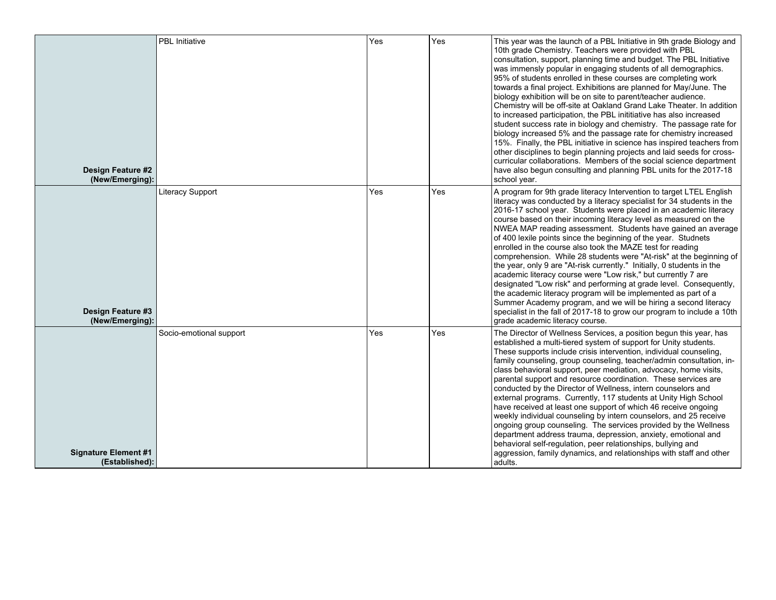|                                               | <b>PBL</b> Initiative   | Yes | Yes | This year was the launch of a PBL Initiative in 9th grade Biology and                                                                                                                                                                                                                                                                                                                                                                                                                                                                                                                                                                                                                                                                                                                                                                                                                                                                                                                                                              |
|-----------------------------------------------|-------------------------|-----|-----|------------------------------------------------------------------------------------------------------------------------------------------------------------------------------------------------------------------------------------------------------------------------------------------------------------------------------------------------------------------------------------------------------------------------------------------------------------------------------------------------------------------------------------------------------------------------------------------------------------------------------------------------------------------------------------------------------------------------------------------------------------------------------------------------------------------------------------------------------------------------------------------------------------------------------------------------------------------------------------------------------------------------------------|
| Design Feature #2<br>(New/Emerging):          |                         |     |     | 10th grade Chemistry. Teachers were provided with PBL<br>consultation, support, planning time and budget. The PBL Initiative<br>was immensly popular in engaging students of all demographics.<br>95% of students enrolled in these courses are completing work<br>towards a final project. Exhibitions are planned for May/June. The<br>biology exhibition will be on site to parent/teacher audience.<br>Chemistry will be off-site at Oakland Grand Lake Theater. In addition<br>to increased participation, the PBL inititiative has also increased<br>student success rate in biology and chemistry. The passage rate for<br>biology increased 5% and the passage rate for chemistry increased<br>15%. Finally, the PBL initiative in science has inspired teachers from<br>other disciplines to begin planning projects and laid seeds for cross-<br>curricular collaborations. Members of the social science department<br>have also begun consulting and planning PBL units for the 2017-18<br>school year.                |
| <b>Design Feature #3</b><br>(New/Emerging):   | Literacy Support        | Yes | Yes | A program for 9th grade literacy Intervention to target LTEL English<br>literacy was conducted by a literacy specialist for 34 students in the<br>2016-17 school year. Students were placed in an academic literacy<br>course based on their incoming literacy level as measured on the<br>NWEA MAP reading assessment. Students have gained an average<br>of 400 lexile points since the beginning of the year. Studnets<br>enrolled in the course also took the MAZE test for reading<br>comprehension. While 28 students were "At-risk" at the beginning of<br>the year, only 9 are "At-risk currently." Initially, 0 students in the<br>academic literacy course were "Low risk," but currently 7 are<br>designated "Low risk" and performing at grade level. Consequently,<br>the academic literacy program will be implemented as part of a<br>Summer Academy program, and we will be hiring a second literacy<br>specialist in the fall of 2017-18 to grow our program to include a 10th<br>grade academic literacy course. |
| <b>Signature Element #1</b><br>(Established): | Socio-emotional support | Yes | Yes | The Director of Wellness Services, a position begun this year, has<br>established a multi-tiered system of support for Unity students.<br>These supports include crisis intervention, individual counseling,<br>family counseling, group counseling, teacher/admin consultation, in-<br>class behavioral support, peer mediation, advocacy, home visits,<br>parental support and resource coordination. These services are<br>conducted by the Director of Wellness, intern counselors and<br>external programs. Currently, 117 students at Unity High School<br>have received at least one support of which 46 receive ongoing<br>weekly individual counseling by intern counselors, and 25 receive<br>ongoing group counseling. The services provided by the Wellness<br>department address trauma, depression, anxiety, emotional and<br>behavioral self-regulation, peer relationships, bullying and<br>aggression, family dynamics, and relationships with staff and other<br>adults.                                         |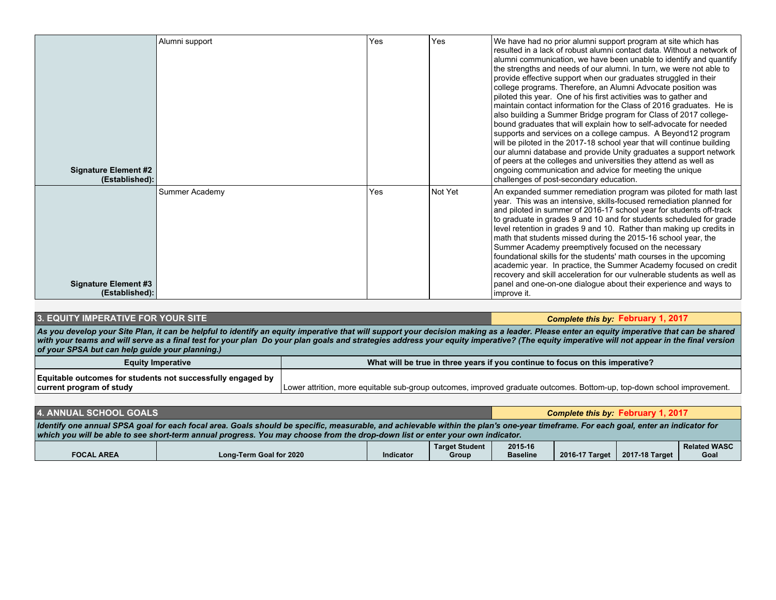| <b>Signature Element #2</b><br>(Established): | Alumni support | Yes | Yes     | We have had no prior alumni support program at site which has<br>resulted in a lack of robust alumni contact data. Without a network of<br>alumni communication, we have been unable to identify and quantify<br>the strengths and needs of our alumni. In turn, we were not able to<br>provide effective support when our graduates struggled in their<br>college programs. Therefore, an Alumni Advocate position was<br>piloted this year. One of his first activities was to gather and<br>maintain contact information for the Class of 2016 graduates. He is<br>also building a Summer Bridge program for Class of 2017 college-<br>bound graduates that will explain how to self-advocate for needed<br>supports and services on a college campus. A Beyond12 program<br>will be piloted in the 2017-18 school year that will continue building<br>our alumni database and provide Unity graduates a support network<br>of peers at the colleges and universities they attend as well as<br>ongoing communication and advice for meeting the unique<br>challenges of post-secondary education. |
|-----------------------------------------------|----------------|-----|---------|-------------------------------------------------------------------------------------------------------------------------------------------------------------------------------------------------------------------------------------------------------------------------------------------------------------------------------------------------------------------------------------------------------------------------------------------------------------------------------------------------------------------------------------------------------------------------------------------------------------------------------------------------------------------------------------------------------------------------------------------------------------------------------------------------------------------------------------------------------------------------------------------------------------------------------------------------------------------------------------------------------------------------------------------------------------------------------------------------------|
| <b>Signature Element #3</b><br>(Established): | Summer Academy | Yes | Not Yet | An expanded summer remediation program was piloted for math last<br>year. This was an intensive, skills-focused remediation planned for<br>and piloted in summer of 2016-17 school year for students off-track<br>to graduate in grades 9 and 10 and for students scheduled for grade<br>level retention in grades 9 and 10. Rather than making up credits in<br>math that students missed during the 2015-16 school year, the<br>Summer Academy preemptively focused on the necessary<br>foundational skills for the students' math courses in the upcoming<br>academic year. In practice, the Summer Academy focused on credit<br>recovery and skill acceleration for our vulnerable students as well as<br>panel and one-on-one dialogue about their experience and ways to<br>improve it.                                                                                                                                                                                                                                                                                                         |

#### **1. EQUITY IMPERATIVE FOR YOUR SITE COMPUTER INTERFERITY IS A SET OF A SET OF A SET OF A SET OF A SET OF A SET OF A SET OF A SET OF A SET OF A SET OF A SET OF A SET OF A SET OF A SET OF A SET OF A SET OF A SET OF A SET O**

*As you develop your Site Plan, it can be helpful to identify an equity imperative that will support your decision making as a leader. Please enter an equity imperative that can be shared with your teams and will serve as a final test for your plan Do your plan goals and strategies address your equity imperative? (The equity imperative will not appear in the final version of your SPSA but can help guide your planning.)*

| <b>Equity Imperative</b>                                    | What will be true in three years if you continue to focus on this imperative?                                           |
|-------------------------------------------------------------|-------------------------------------------------------------------------------------------------------------------------|
| Equitable outcomes for students not successfully engaged by |                                                                                                                         |
| current program of study                                    | Lower attrition, more equitable sub-group outcomes, improved graduate outcomes. Bottom-up, top-down school improvement. |

| <b>4. ANNUAL SCHOOL GOALS</b>                                                                                                                                                                                                                                                                                        |  |  |  |  | Complete this by: February 1, 2017 |                     |
|----------------------------------------------------------------------------------------------------------------------------------------------------------------------------------------------------------------------------------------------------------------------------------------------------------------------|--|--|--|--|------------------------------------|---------------------|
| Identify one annual SPSA goal for each focal area. Goals should be specific, measurable, and achievable within the plan's one-year timeframe. For each goal, enter an indicator for<br>which you will be able to see short-term annual progress. You may choose from the drop-down list or enter your own indicator. |  |  |  |  |                                    |                     |
| 2015-16<br><b>Target Student</b><br>2017-18 Target<br>2016-17 Target<br>Long-Term Goal for 2020<br><b>Baseline</b><br><b>FOCAL AREA</b><br>Indicator<br>Goal<br>Group                                                                                                                                                |  |  |  |  |                                    | <b>Related WASC</b> |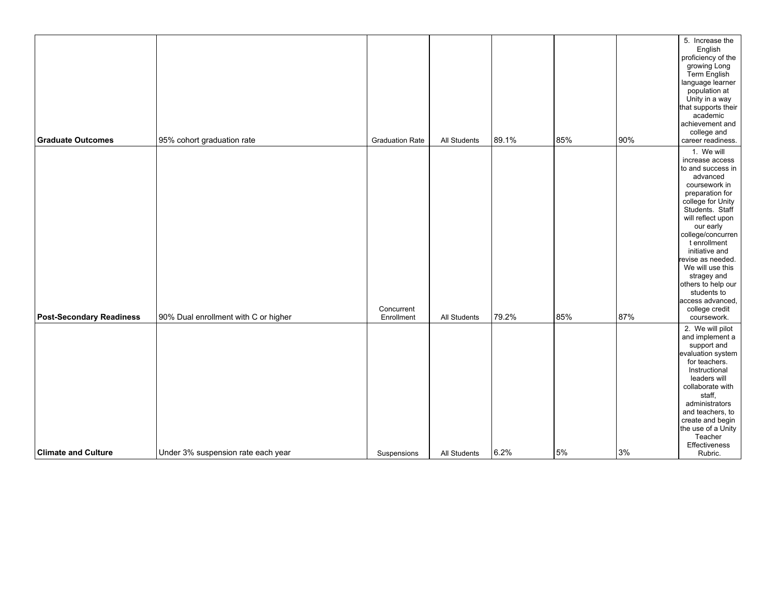|                                 |                                      |                          |              |       |     |     | 5. Increase the<br>English<br>proficiency of the<br>growing Long<br>Term English<br>language learner<br>population at                                                                                                                                                                                                                                                                 |
|---------------------------------|--------------------------------------|--------------------------|--------------|-------|-----|-----|---------------------------------------------------------------------------------------------------------------------------------------------------------------------------------------------------------------------------------------------------------------------------------------------------------------------------------------------------------------------------------------|
|                                 |                                      |                          |              |       |     |     | Unity in a way<br>that supports their<br>academic                                                                                                                                                                                                                                                                                                                                     |
|                                 |                                      |                          |              |       |     |     | achievement and<br>college and                                                                                                                                                                                                                                                                                                                                                        |
| <b>Graduate Outcomes</b>        | 95% cohort graduation rate           | <b>Graduation Rate</b>   | All Students | 89.1% | 85% | 90% | career readiness.                                                                                                                                                                                                                                                                                                                                                                     |
| <b>Post-Secondary Readiness</b> | 90% Dual enrollment with C or higher | Concurrent<br>Enrollment | All Students | 79.2% | 85% | 87% | 1. We will<br>increase access<br>to and success in<br>advanced<br>coursework in<br>preparation for<br>college for Unity<br>Students. Staff<br>will reflect upon<br>our early<br>college/concurren<br>t enrollment<br>initiative and<br>revise as needed.<br>We will use this<br>stragey and<br>others to help our<br>students to<br>access advanced,<br>college credit<br>coursework. |
| <b>Climate and Culture</b>      | Under 3% suspension rate each year   | Suspensions              | All Students | 6.2%  | 5%  | 3%  | 2. We will pilot<br>and implement a<br>support and<br>evaluation system<br>for teachers.<br>Instructional<br>leaders will<br>collaborate with<br>staff,<br>administrators<br>and teachers, to<br>create and begin<br>the use of a Unity<br>Teacher<br>Effectiveness<br>Rubric.                                                                                                        |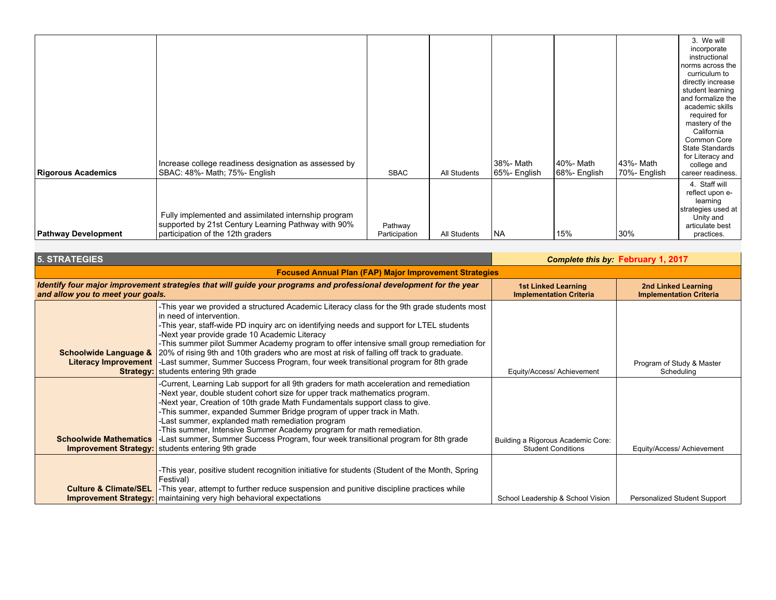| <b>Rigorous Academics</b>  | Increase college readiness designation as assessed by<br>SBAC: 48%- Math; 75%- English                                                           | <b>SBAC</b>              | All Students | 38%- Math<br>65%- English | 40%- Math<br>68%- English | 143%- Math<br>70%- English | 3. We will<br>incorporate<br>instructional<br>norms across the<br>curriculum to<br>directly increase<br>student learning<br>and formalize the<br>academic skills<br>required for<br>mastery of the<br>California<br>Common Core<br><b>State Standards</b><br>for Literacy and<br>college and<br>career readiness. |
|----------------------------|--------------------------------------------------------------------------------------------------------------------------------------------------|--------------------------|--------------|---------------------------|---------------------------|----------------------------|-------------------------------------------------------------------------------------------------------------------------------------------------------------------------------------------------------------------------------------------------------------------------------------------------------------------|
| <b>Pathway Development</b> | Fully implemented and assimilated internship program<br>supported by 21st Century Learning Pathway with 90%<br>participation of the 12th graders | Pathway<br>Participation | All Students | l NA                      | 15%                       | 30%                        | 4. Staff will<br>reflect upon e-<br>learning<br>strategies used at<br>Unity and<br>articulate best<br>practices.                                                                                                                                                                                                  |

| <b>5. STRATEGIES</b>                                          |                                                                                                                                                                                                                                                                                                                                                                                                                                                                                                                                                                                                                            | <b>Complete this by: February 1, 2017</b>                       |                                                       |  |  |  |  |  |
|---------------------------------------------------------------|----------------------------------------------------------------------------------------------------------------------------------------------------------------------------------------------------------------------------------------------------------------------------------------------------------------------------------------------------------------------------------------------------------------------------------------------------------------------------------------------------------------------------------------------------------------------------------------------------------------------------|-----------------------------------------------------------------|-------------------------------------------------------|--|--|--|--|--|
| <b>Focused Annual Plan (FAP) Major Improvement Strategies</b> |                                                                                                                                                                                                                                                                                                                                                                                                                                                                                                                                                                                                                            |                                                                 |                                                       |  |  |  |  |  |
| and allow you to meet your goals.                             | Identify four major improvement strategies that will guide your programs and professional development for the year                                                                                                                                                                                                                                                                                                                                                                                                                                                                                                         | <b>1st Linked Learning</b><br><b>Implementation Criteria</b>    | 2nd Linked Learning<br><b>Implementation Criteria</b> |  |  |  |  |  |
| Schoolwide Language &                                         | -This year we provided a structured Academic Literacy class for the 9th grade students most<br>in need of intervention.<br>-This year, staff-wide PD inquiry arc on identifying needs and support for LTEL students<br>-Next year provide grade 10 Academic Literacy<br>-This summer pilot Summer Academy program to offer intensive small group remediation for<br>20% of rising 9th and 10th graders who are most at risk of falling off track to graduate.<br>Literacy Improvement   -Last summer, Summer Success Program, four week transitional program for 8th grade<br><b>Strategy:</b> students entering 9th grade | Equity/Access/ Achievement                                      | Program of Study & Master<br>Scheduling               |  |  |  |  |  |
| <b>Schoolwide Mathematics</b>                                 | -Current, Learning Lab support for all 9th graders for math acceleration and remediation<br>-Next year, double student cohort size for upper track mathematics program.<br>-Next year, Creation of 10th grade Math Fundamentals support class to give.<br>-This summer, expanded Summer Bridge program of upper track in Math.<br>-Last summer, explanded math remediation program<br>-This summer, Intensive Summer Academy program for math remediation.<br>Last summer, Summer Success Program, four week transitional program for 8th grade<br><b>Improvement Strategy:</b> students entering 9th grade                | Building a Rigorous Academic Core:<br><b>Student Conditions</b> | Equity/Access/ Achievement                            |  |  |  |  |  |
| <b>Culture &amp; Climate/SEL</b>                              | -This year, positive student recognition initiative for students (Student of the Month, Spring<br>Festival)<br>-This year, attempt to further reduce suspension and punitive discipline practices while<br><b>Improvement Strategy:</b>   maintaining very high behavioral expectations                                                                                                                                                                                                                                                                                                                                    | School Leadership & School Vision                               | Personalized Student Support                          |  |  |  |  |  |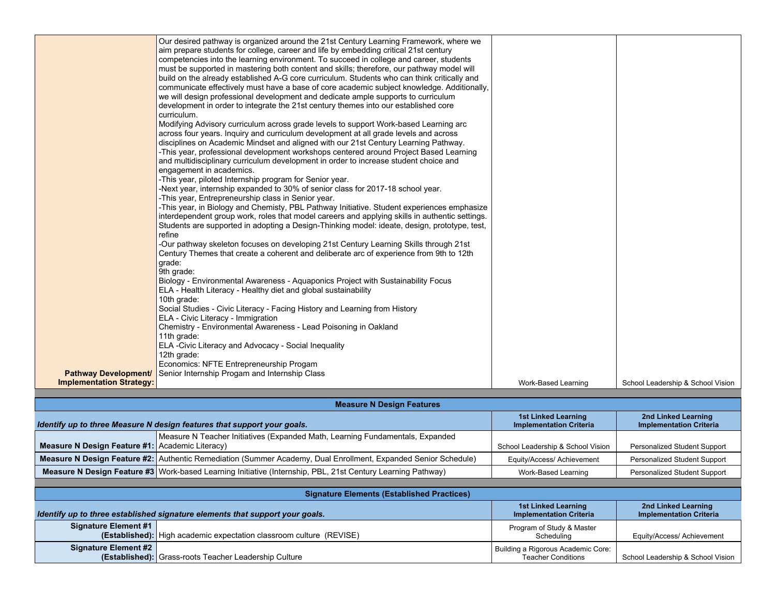|                                 | الموارد و بعد المسلم الموارد و المسلم المسلم المسلم المسلم المسلم المسلم المسلم المسلم المسلم المسلم المسلم ال                                                                |                                                              |                                                       |
|---------------------------------|-------------------------------------------------------------------------------------------------------------------------------------------------------------------------------|--------------------------------------------------------------|-------------------------------------------------------|
|                                 | Identify up to three Measure N design features that support your goals.                                                                                                       | <b>1st Linked Learning</b><br><b>Implementation Criteria</b> | 2nd Linked Learning<br><b>Implementation Criteria</b> |
|                                 | <b>Measure N Design Features</b>                                                                                                                                              |                                                              |                                                       |
|                                 |                                                                                                                                                                               |                                                              |                                                       |
| <b>Implementation Strategy:</b> |                                                                                                                                                                               | Work-Based Learning                                          | School Leadership & School Vision                     |
| <b>Pathway Development/</b>     | Senior Internship Progam and Internship Class                                                                                                                                 |                                                              |                                                       |
|                                 | Economics: NFTE Entrepreneurship Progam                                                                                                                                       |                                                              |                                                       |
|                                 | 12th grade:                                                                                                                                                                   |                                                              |                                                       |
|                                 | 11th grade:<br>ELA - Civic Literacy and Advocacy - Social Inequality                                                                                                          |                                                              |                                                       |
|                                 | Chemistry - Environmental Awareness - Lead Poisoning in Oakland                                                                                                               |                                                              |                                                       |
|                                 | ELA - Civic Literacy - Immigration                                                                                                                                            |                                                              |                                                       |
|                                 | Social Studies - Civic Literacy - Facing History and Learning from History                                                                                                    |                                                              |                                                       |
|                                 | 10th grade:                                                                                                                                                                   |                                                              |                                                       |
|                                 | ELA - Health Literacy - Healthy diet and global sustainability                                                                                                                |                                                              |                                                       |
|                                 | Biology - Environmental Awareness - Aquaponics Project with Sustainability Focus                                                                                              |                                                              |                                                       |
|                                 | grade:<br>9th grade:                                                                                                                                                          |                                                              |                                                       |
|                                 | Century Themes that create a coherent and deliberate arc of experience from 9th to 12th                                                                                       |                                                              |                                                       |
|                                 | -Our pathway skeleton focuses on developing 21st Century Learning Skills through 21st                                                                                         |                                                              |                                                       |
|                                 | refine                                                                                                                                                                        |                                                              |                                                       |
|                                 | Students are supported in adopting a Design-Thinking model: ideate, design, prototype, test,                                                                                  |                                                              |                                                       |
|                                 | interdependent group work, roles that model careers and applying skills in authentic settings.                                                                                |                                                              |                                                       |
|                                 | -This year, Entrepreneurship class in Senior year.<br>-This year, in Biology and Chemisty, PBL Pathway Initiative. Student experiences emphasize                              |                                                              |                                                       |
|                                 | -Next year, internship expanded to 30% of senior class for 2017-18 school year.                                                                                               |                                                              |                                                       |
|                                 | -This year, piloted Internship program for Senior year.                                                                                                                       |                                                              |                                                       |
|                                 | engagement in academics.                                                                                                                                                      |                                                              |                                                       |
|                                 | and multidisciplinary curriculum development in order to increase student choice and                                                                                          |                                                              |                                                       |
|                                 | -This year, professional development workshops centered around Project Based Learning                                                                                         |                                                              |                                                       |
|                                 | disciplines on Academic Mindset and aligned with our 21st Century Learning Pathway.                                                                                           |                                                              |                                                       |
|                                 | Modifying Advisory curriculum across grade levels to support Work-based Learning arc<br>across four years. Inquiry and curriculum development at all grade levels and across  |                                                              |                                                       |
|                                 | curriculum.                                                                                                                                                                   |                                                              |                                                       |
|                                 | development in order to integrate the 21st century themes into our established core                                                                                           |                                                              |                                                       |
|                                 | we will design professional development and dedicate ample supports to curriculum                                                                                             |                                                              |                                                       |
|                                 | communicate effectively must have a base of core academic subject knowledge. Additionally,                                                                                    |                                                              |                                                       |
|                                 | build on the already established A-G core curriculum. Students who can think critically and                                                                                   |                                                              |                                                       |
|                                 | must be supported in mastering both content and skills; therefore, our pathway model will                                                                                     |                                                              |                                                       |
|                                 | competencies into the learning environment. To succeed in college and career, students                                                                                        |                                                              |                                                       |
|                                 | Our desired pathway is organized around the 21st Century Learning Framework, where we<br>aim prepare students for college, career and life by embedding critical 21st century |                                                              |                                                       |
|                                 |                                                                                                                                                                               |                                                              |                                                       |

|                                                        | Measure N Teacher Initiatives (Expanded Math, Learning Fundamentals, Expanded                                        |                                    |                                     |
|--------------------------------------------------------|----------------------------------------------------------------------------------------------------------------------|------------------------------------|-------------------------------------|
| <b>Measure N Design Feature #1: Academic Literacy)</b> |                                                                                                                      | School Leadership & School Vision. | Personalized Student Support        |
|                                                        | Measure N Design Feature #2: Authentic Remediation (Summer Academy, Dual Enrollment, Expanded Senior Schedule)       | Equity/Access/ Achievement         | Personalized Student Support        |
|                                                        | <b>Measure N Design Feature #3   Work-based Learning Initiative (Internship, PBL, 21st Century Learning Pathway)</b> | Work-Based Learning                | <b>Personalized Student Support</b> |

| <b>Signature Elements (Established Practices)</b> |                                                                              |                                                                 |                                                       |  |  |  |  |  |  |
|---------------------------------------------------|------------------------------------------------------------------------------|-----------------------------------------------------------------|-------------------------------------------------------|--|--|--|--|--|--|
|                                                   | Identify up to three established signature elements that support your goals. | <b>1st Linked Learning</b><br><b>Implementation Criteria</b>    | 2nd Linked Learning<br><b>Implementation Criteria</b> |  |  |  |  |  |  |
| <b>Signature Element #1</b>                       | (Established): High academic expectation classroom culture (REVISE)          | Program of Study & Master<br>Schedulina                         | Equity/Access/ Achievement                            |  |  |  |  |  |  |
| <b>Signature Element #2</b>                       | (Established): Grass-roots Teacher Leadership Culture                        | Building a Rigorous Academic Core:<br><b>Teacher Conditions</b> | School Leadership & School Vision                     |  |  |  |  |  |  |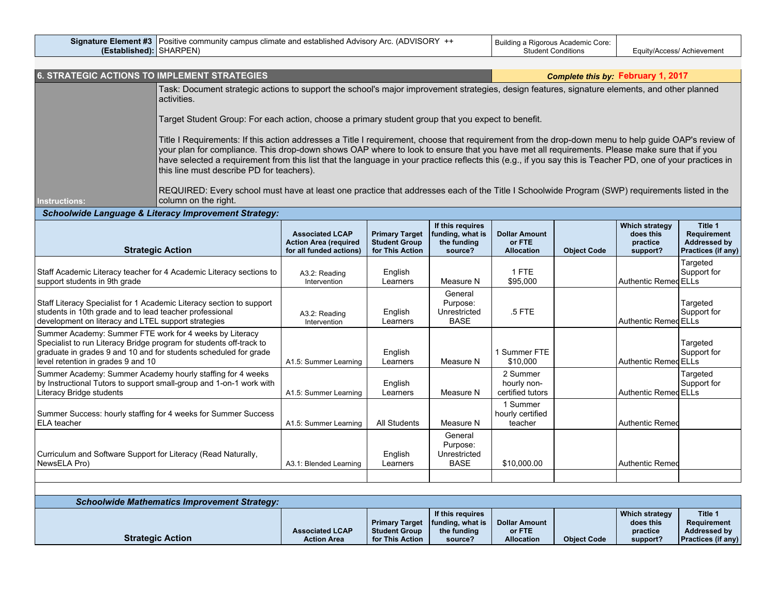|                  | Signature Element #3   Positive community campus climate and established Advisory Arc. (ADVISORY + | I Building a Rigorous Academic Core: |                            |
|------------------|----------------------------------------------------------------------------------------------------|--------------------------------------|----------------------------|
| (Established): I | <b>ISHARPEN</b>                                                                                    | ′ tudentتt<br>∵onditions             | Equity/Access/ Achievement |

| <b>6. STRATEGIC ACTIONS TO IMPLEMENT STRATEGIES</b>                                                                                                                                                                                                                                                                                                                                                                                                                                                                                                                                                                                                                                                            |                                                                                   |                                                                  |                                                                |                                                     |                    | Complete this by: February 1, 2017                         |                                                              |
|----------------------------------------------------------------------------------------------------------------------------------------------------------------------------------------------------------------------------------------------------------------------------------------------------------------------------------------------------------------------------------------------------------------------------------------------------------------------------------------------------------------------------------------------------------------------------------------------------------------------------------------------------------------------------------------------------------------|-----------------------------------------------------------------------------------|------------------------------------------------------------------|----------------------------------------------------------------|-----------------------------------------------------|--------------------|------------------------------------------------------------|--------------------------------------------------------------|
| Task: Document strategic actions to support the school's major improvement strategies, design features, signature elements, and other planned<br>activities.                                                                                                                                                                                                                                                                                                                                                                                                                                                                                                                                                   |                                                                                   |                                                                  |                                                                |                                                     |                    |                                                            |                                                              |
| Target Student Group: For each action, choose a primary student group that you expect to benefit.                                                                                                                                                                                                                                                                                                                                                                                                                                                                                                                                                                                                              |                                                                                   |                                                                  |                                                                |                                                     |                    |                                                            |                                                              |
| Title I Requirements: If this action addresses a Title I requirement, choose that requirement from the drop-down menu to help guide OAP's review of<br>your plan for compliance. This drop-down shows OAP where to look to ensure that you have met all requirements. Please make sure that if you<br>have selected a requirement from this list that the language in your practice reflects this (e.g., if you say this is Teacher PD, one of your practices in<br>this line must describe PD for teachers).<br>REQUIRED: Every school must have at least one practice that addresses each of the Title I Schoolwide Program (SWP) requirements listed in the<br>column on the right.<br><b>Instructions:</b> |                                                                                   |                                                                  |                                                                |                                                     |                    |                                                            |                                                              |
| <b>Schoolwide Language &amp; Literacy Improvement Strategy:</b>                                                                                                                                                                                                                                                                                                                                                                                                                                                                                                                                                                                                                                                |                                                                                   |                                                                  |                                                                |                                                     |                    |                                                            |                                                              |
| <b>Strategic Action</b>                                                                                                                                                                                                                                                                                                                                                                                                                                                                                                                                                                                                                                                                                        | <b>Associated LCAP</b><br><b>Action Area (required</b><br>for all funded actions) | <b>Primary Target</b><br><b>Student Group</b><br>for This Action | If this requires<br>funding, what is<br>the funding<br>source? | <b>Dollar Amount</b><br>or FTE<br><b>Allocation</b> | <b>Object Code</b> | <b>Which strategy</b><br>does this<br>practice<br>support? | Title 1<br>Requirement<br>Addressed by<br>Practices (if any) |
| Staff Academic Literacy teacher for 4 Academic Literacy sections to<br>support students in 9th grade                                                                                                                                                                                                                                                                                                                                                                                                                                                                                                                                                                                                           | A3.2: Reading<br>Intervention                                                     | English<br>Learners                                              | Measure N                                                      | 1 FTE<br>\$95,000                                   |                    | Authentic Remed ELLs                                       | Targeted<br>Support for                                      |
| Staff Literacy Specialist for 1 Academic Literacy section to support<br>students in 10th grade and to lead teacher professional<br>development on literacy and LTEL support strategies                                                                                                                                                                                                                                                                                                                                                                                                                                                                                                                         | A3.2: Reading<br>Intervention                                                     | English<br>Learners                                              | General<br>Purpose:<br>Unrestricted<br><b>BASE</b>             | $.5$ FTE                                            |                    | Authentic Remed ELLs                                       | Targeted<br>Support for                                      |
| Summer Academy: Summer FTE work for 4 weeks by Literacy<br>Specialist to run Literacy Bridge program for students off-track to<br>graduate in grades 9 and 10 and for students scheduled for grade<br>level retention in grades 9 and 10                                                                                                                                                                                                                                                                                                                                                                                                                                                                       | A1.5: Summer Learning                                                             | English<br>Learners                                              | Measure N                                                      | 1 Summer FTE<br>\$10,000                            |                    | <b>Authentic Remed ELLs</b>                                | Targeted<br>Support for                                      |
| Summer Academy: Summer Academy hourly staffing for 4 weeks<br>by Instructional Tutors to support small-group and 1-on-1 work with<br>Literacy Bridge students                                                                                                                                                                                                                                                                                                                                                                                                                                                                                                                                                  | A1.5: Summer Learning                                                             | English<br>Learners                                              | Measure N                                                      | 2 Summer<br>hourly non-<br>certified tutors         |                    | Authentic Remed ELLs                                       | Targeted<br>Support for                                      |
| Summer Success: hourly staffing for 4 weeks for Summer Success<br>ELA teacher                                                                                                                                                                                                                                                                                                                                                                                                                                                                                                                                                                                                                                  | A1.5: Summer Learning                                                             | <b>All Students</b>                                              | Measure N                                                      | 1 Summer<br>hourly certified<br>teacher             |                    | <b>Authentic Remed</b>                                     |                                                              |
| Curriculum and Software Support for Literacy (Read Naturally,<br>NewsELA Pro)                                                                                                                                                                                                                                                                                                                                                                                                                                                                                                                                                                                                                                  | A3.1: Blended Learning                                                            | English<br>Learners                                              | General<br>Purpose:<br>Unrestricted<br><b>BASE</b>             | \$10,000.00                                         |                    | <b>Authentic Remed</b>                                     |                                                              |
|                                                                                                                                                                                                                                                                                                                                                                                                                                                                                                                                                                                                                                                                                                                |                                                                                   |                                                                  |                                                                |                                                     |                    |                                                            |                                                              |
| <b>Schoolwide Mathematics Improvement Strategy:</b>                                                                                                                                                                                                                                                                                                                                                                                                                                                                                                                                                                                                                                                            |                                                                                   |                                                                  |                                                                |                                                     |                    |                                                            |                                                              |
| <b>Strategic Action</b>                                                                                                                                                                                                                                                                                                                                                                                                                                                                                                                                                                                                                                                                                        | <b>Associated LCAP</b><br><b>Action Area</b>                                      | <b>Primary Target</b><br><b>Student Group</b><br>for This Action | If this requires<br>funding, what is<br>the funding<br>source? | <b>Dollar Amount</b><br>or FTE<br><b>Allocation</b> | <b>Object Code</b> | <b>Which strategy</b><br>does this<br>practice<br>support? | Title 1<br>Requirement<br>Addressed by<br>Practices (if any) |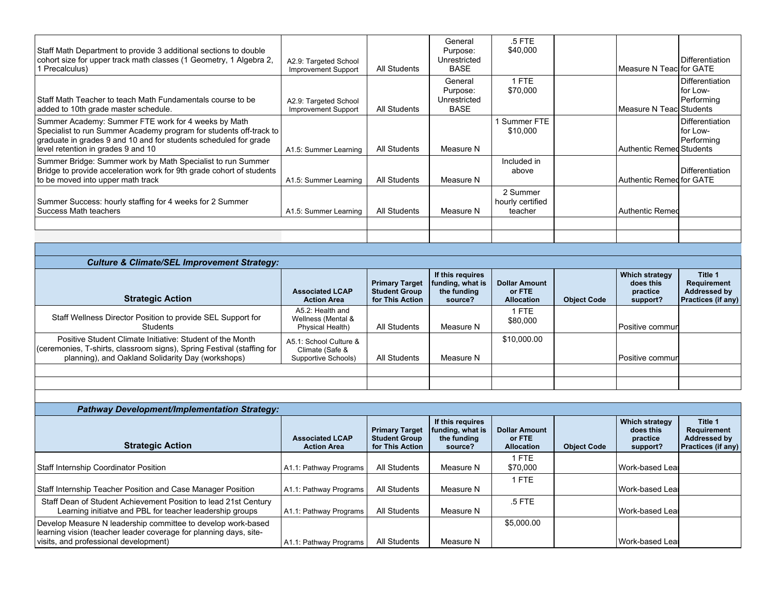| Staff Math Department to provide 3 additional sections to double<br>cohort size for upper track math classes (1 Geometry, 1 Algebra 2,<br>1 Precalculus)                                                                            | A2.9: Targeted School<br>Improvement Support | All Students | General<br>Purpose:<br>Unrestricted<br><b>BASE</b> | $.5$ FTE<br>\$40,000                    | Measure N Teac for GATE    | Differentiation                           |
|-------------------------------------------------------------------------------------------------------------------------------------------------------------------------------------------------------------------------------------|----------------------------------------------|--------------|----------------------------------------------------|-----------------------------------------|----------------------------|-------------------------------------------|
| Staff Math Teacher to teach Math Fundamentals course to be<br>added to 10th grade master schedule.                                                                                                                                  | A2.9: Targeted School<br>Improvement Support | All Students | General<br>Purpose:<br>Unrestricted<br><b>BASE</b> | 1 FTE<br>\$70,000                       | l Measure N Teacl Students | Differentiation<br>for Low-<br>Performing |
| Summer Academy: Summer FTE work for 4 weeks by Math<br>Specialist to run Summer Academy program for students off-track to<br>graduate in grades 9 and 10 and for students scheduled for grade<br>level retention in grades 9 and 10 | A1.5: Summer Learning                        | All Students | Measure N                                          | 1 Summer FTE<br>\$10,000                | Authentic Remed Students   | Differentiation<br>for Low-<br>Performing |
| Summer Bridge: Summer work by Math Specialist to run Summer<br>Bridge to provide acceleration work for 9th grade cohort of students<br>to be moved into upper math track                                                            | A1.5: Summer Learning                        | All Students | Measure N                                          | Included in<br>above                    | Authentic Remed for GATE   | Differentiation                           |
| Summer Success: hourly staffing for 4 weeks for 2 Summer<br>Success Math teachers                                                                                                                                                   | A1.5: Summer Learning                        | All Students | Measure N                                          | 2 Summer<br>hourly certified<br>teacher | Authentic Remed            |                                           |
|                                                                                                                                                                                                                                     |                                              |              |                                                    |                                         |                            |                                           |
| <b>Culture &amp; Climate/SEL Improvement Strategy:</b>                                                                                                                                                                              |                                              |              |                                                    |                                         |                            |                                           |
|                                                                                                                                                                                                                                     |                                              |              | If this requires                                   |                                         | Which strategy             | Title 1                                   |

| <b>Strategic Action</b>                                                                                                                                                                  | <b>Associated LCAP</b><br><b>Action Area</b>                     | <b>Primary Target</b><br><b>Student Group</b><br>for This Action | If this requires<br>  funding, what is $\vert$ Dollar Amount<br>the funding<br>source? | or FTE<br><b>Allocation</b> | <b>Object Code</b> | Which strategy<br>does this<br>practice<br>support? | Title 1<br>Requirement<br>Addressed by<br><b>Practices (if any)</b> |
|------------------------------------------------------------------------------------------------------------------------------------------------------------------------------------------|------------------------------------------------------------------|------------------------------------------------------------------|----------------------------------------------------------------------------------------|-----------------------------|--------------------|-----------------------------------------------------|---------------------------------------------------------------------|
| Staff Wellness Director Position to provide SEL Support for<br>Students                                                                                                                  | A5.2: Health and<br>Wellness (Mental &<br>Physical Health)       | All Students                                                     | Measure N                                                                              | 1 FTE<br>\$80,000           |                    | Positive commuri                                    |                                                                     |
| Positive Student Climate Initiative: Student of the Month<br>(ceremonies, T-shirts, classroom signs), Spring Festival (staffing for<br>planning), and Oakland Solidarity Day (workshops) | A5.1: School Culture &<br>Climate (Safe &<br>Supportive Schools) | All Students                                                     | Measure N                                                                              | \$10,000.00                 |                    | Positive commun                                     |                                                                     |
|                                                                                                                                                                                          |                                                                  |                                                                  |                                                                                        |                             |                    |                                                     |                                                                     |

| <b>Pathway Development/Implementation Strategy:</b>               |                                              |                                                                  |                                                                |                                                     |                    |                                                     |                                                                            |
|-------------------------------------------------------------------|----------------------------------------------|------------------------------------------------------------------|----------------------------------------------------------------|-----------------------------------------------------|--------------------|-----------------------------------------------------|----------------------------------------------------------------------------|
| <b>Strategic Action</b>                                           | <b>Associated LCAP</b><br><b>Action Area</b> | <b>Primary Target</b><br><b>Student Group</b><br>for This Action | If this requires<br>funding, what is<br>the funding<br>source? | <b>Dollar Amount</b><br>or FTE<br><b>Allocation</b> | <b>Object Code</b> | Which strategy<br>does this<br>practice<br>support? | Title 1<br>Requirement<br><b>Addressed by</b><br><b>Practices (if any)</b> |
|                                                                   |                                              |                                                                  |                                                                | 1 FTE                                               |                    |                                                     |                                                                            |
| Staff Internship Coordinator Position                             | A1.1: Pathway Programs                       | All Students                                                     | Measure N                                                      | \$70,000                                            |                    | Work-based Leal                                     |                                                                            |
|                                                                   |                                              |                                                                  |                                                                | 1 FTE                                               |                    |                                                     |                                                                            |
| Staff Internship Teacher Position and Case Manager Position       | A1.1: Pathway Programs                       | All Students                                                     | Measure N                                                      |                                                     |                    | Work-based Lear                                     |                                                                            |
| Staff Dean of Student Achievement Position to lead 21st Century   |                                              |                                                                  |                                                                | $.5$ FTE                                            |                    |                                                     |                                                                            |
| Learning initiatve and PBL for teacher leadership groups          | A1.1: Pathway Programs                       | All Students                                                     | Measure N                                                      |                                                     |                    | Work-based Leal                                     |                                                                            |
| Develop Measure N leadership committee to develop work-based      |                                              |                                                                  |                                                                | \$5,000.00                                          |                    |                                                     |                                                                            |
| learning vision (teacher leader coverage for planning days, site- |                                              |                                                                  |                                                                |                                                     |                    |                                                     |                                                                            |
| visits, and professional development)                             | A1.1: Pathway Programs                       | All Students                                                     | Measure N                                                      |                                                     |                    | Work-based Leal                                     |                                                                            |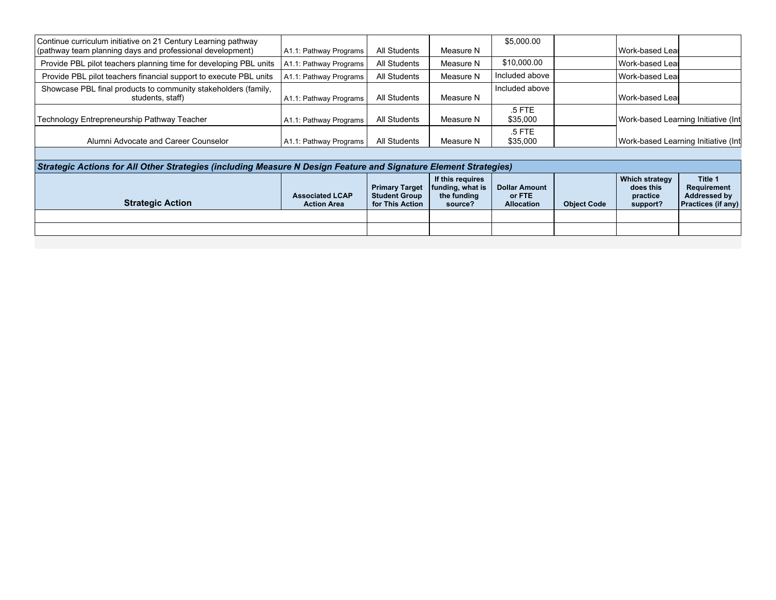| Continue curriculum initiative on 21 Century Learning pathway     |                        |              |           | \$5,000.00     |                                     |
|-------------------------------------------------------------------|------------------------|--------------|-----------|----------------|-------------------------------------|
| (pathway team planning days and professional development)         | A1.1: Pathway Programs | All Students | Measure N |                | Work-based Leal                     |
| Provide PBL pilot teachers planning time for developing PBL units | A1.1: Pathway Programs | All Students | Measure N | \$10,000.00    | Work-based Lear                     |
| Provide PBL pilot teachers financial support to execute PBL units | A1.1: Pathway Programs | All Students | Measure N | Included above | Work-based Leal                     |
| Showcase PBL final products to community stakeholders (family,    |                        |              |           | Included above |                                     |
| students, staff)                                                  | A1.1: Pathway Programs | All Students | Measure N |                | Work-based Leal                     |
|                                                                   |                        |              |           | .5 FTE         |                                     |
| Technology Entrepreneurship Pathway Teacher                       | A1.1: Pathway Programs | All Students | Measure N | \$35,000       | Work-based Learning Initiative (Int |
|                                                                   |                        |              |           | .5 FTE         |                                     |
| Alumni Advocate and Career Counselor                              | A1.1: Pathway Programs | All Students | Measure N | \$35,000       | Work-based Learning Initiative (Int |

| Strategic Actions for All Other Strategies (including Measure N Design Feature and Signature Element Strategies) |                                              |                                                                  |                                                                        |                                                     |                    |                                                     |                                                                            |  |  |  |  |
|------------------------------------------------------------------------------------------------------------------|----------------------------------------------|------------------------------------------------------------------|------------------------------------------------------------------------|-----------------------------------------------------|--------------------|-----------------------------------------------------|----------------------------------------------------------------------------|--|--|--|--|
| <b>Strategic Action</b>                                                                                          | <b>Associated LCAP</b><br><b>Action Area</b> | <b>Primary Target</b><br><b>Student Group</b><br>for This Action | If this requires<br>$\vert$ funding, what is<br>the funding<br>source? | <b>Dollar Amount</b><br>or FTE<br><b>Allocation</b> | <b>Object Code</b> | Which strategy<br>does this<br>practice<br>support? | Title 1<br>Requirement<br><b>Addressed by</b><br><b>Practices (if any)</b> |  |  |  |  |
|                                                                                                                  |                                              |                                                                  |                                                                        |                                                     |                    |                                                     |                                                                            |  |  |  |  |
|                                                                                                                  |                                              |                                                                  |                                                                        |                                                     |                    |                                                     |                                                                            |  |  |  |  |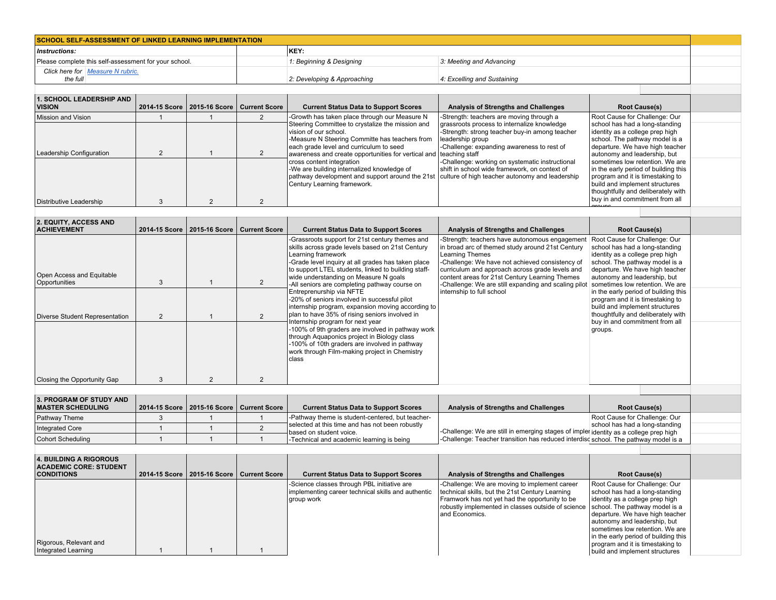| <b>SCHOOL SELF-ASSESSMENT OF LINKED LEARNING IMPLEMENTATION</b> |                             |                             |  |  |  |  |  |
|-----------------------------------------------------------------|-----------------------------|-----------------------------|--|--|--|--|--|
| KEY:<br>Instructions:                                           |                             |                             |  |  |  |  |  |
| Please complete this self-assessment for your school.           | 1: Beginning & Designing    | 3: Meeting and Advancing    |  |  |  |  |  |
| Click here for Measure N rubric.<br>the full                    | 2: Developing & Approaching | 4: Excelling and Sustaining |  |  |  |  |  |

| 1. SCHOOL LEADERSHIP AND  <br><b>VISION</b>                               | 2014-15 Score   2015-16 Score   Current Score | <b>Current Status Data to Support Scores</b>                                                                                                                                                                                                                                                                                                                                                                                                                                                                  | Analysis of Strengths and Challenges                                                                                                                                                                                                                                                                            | <b>Root Cause(s)</b>                                                                                                                                                                                                                                                                                                                                                                                                             |  |
|---------------------------------------------------------------------------|-----------------------------------------------|---------------------------------------------------------------------------------------------------------------------------------------------------------------------------------------------------------------------------------------------------------------------------------------------------------------------------------------------------------------------------------------------------------------------------------------------------------------------------------------------------------------|-----------------------------------------------------------------------------------------------------------------------------------------------------------------------------------------------------------------------------------------------------------------------------------------------------------------|----------------------------------------------------------------------------------------------------------------------------------------------------------------------------------------------------------------------------------------------------------------------------------------------------------------------------------------------------------------------------------------------------------------------------------|--|
| Mission and Vision<br>Leadership Configuration<br>Distributive Leadership |                                               | -Growth has taken place through our Measure N<br>Steering Committee to crystalize the mission and<br>lvision of our school.<br>-Measure N Steering Committe has teachers from<br>each grade level and curriculum to seed<br>awareness and create opportunities for vertical and teaching staff<br>cross content integration<br>-We are building internalized knowledge of<br>pathway development and support around the 21st   culture of high teacher autonomy and leadership<br>Century Learning framework. | -Strength: teachers are moving through a<br>grassroots process to internalize knowledge<br>-Strength: strong teacher buy-in among teacher<br>leadership group<br>-Challenge: expanding awareness to rest of<br>-Challenge: working on systematic instructional<br>shift in school wide framework, on context of | Root Cause for Challenge: Our<br>school has had a long-standing<br>identity as a college prep high<br>school. The pathway model is a<br>departure. We have high teacher<br>autonomy and leadership, but<br>sometimes low retention. We are<br>In the early period of building this<br>program and it is timestaking to<br>build and implement structures<br>thoughtfully and deliberately with<br>buy in and commitment from all |  |
|                                                                           |                                               |                                                                                                                                                                                                                                                                                                                                                                                                                                                                                                               |                                                                                                                                                                                                                                                                                                                 | G(0)                                                                                                                                                                                                                                                                                                                                                                                                                             |  |

| <b>2. EQUITY, ACCESS AND</b><br><b>ACHIEVEMENT</b> |   |                | 2014-15 Score   2015-16 Score   Current Score | <b>Current Status Data to Support Scores</b>                                                                                                                                                                                                                                                                                     | Analysis of Strengths and Challenges                                                                                                                                                                                                                                                                                                         | <b>Root Cause(s)</b>                                                                                                                                                                                                                       |  |
|----------------------------------------------------|---|----------------|-----------------------------------------------|----------------------------------------------------------------------------------------------------------------------------------------------------------------------------------------------------------------------------------------------------------------------------------------------------------------------------------|----------------------------------------------------------------------------------------------------------------------------------------------------------------------------------------------------------------------------------------------------------------------------------------------------------------------------------------------|--------------------------------------------------------------------------------------------------------------------------------------------------------------------------------------------------------------------------------------------|--|
| Open Access and Equitable<br>Opportunities         | 3 |                |                                               | -Grassroots support for 21st century themes and<br>skills across grade levels based on 21st Century<br>Learning framework<br>-Grade level inquiry at all grades has taken place<br>to support LTEL students, linked to building staff-<br>wide understanding on Measure N goals<br>-All seniors are completing pathway course on | -Strength: teachers have autonomous engagement<br>in broad arc of themed study around 21st Century<br><b>Learning Themes</b><br>-Challenge: We have not achieved consistency of<br>curriculum and approach across grade levels and<br>content areas for 21st Century Learning Themes<br>-Challenge: We are still expanding and scaling pilot | Root Cause for Challenge: Our<br>school has had a long-standing<br>identity as a college prep high<br>school. The pathway model is a<br>departure. We have high teacher<br>autonomy and leadership, but<br>sometimes low retention. We are |  |
| Diverse Student Representation                     | 2 |                |                                               | Entreprenurship via NFTE<br>-20% of seniors involved in successful pilot<br>internship program, expansion moving according to<br>plan to have 35% of rising seniors involved in                                                                                                                                                  | internship to full school                                                                                                                                                                                                                                                                                                                    | in the early period of building this<br>program and it is timestaking to<br>build and implement structures<br>thoughtfully and deliberately with                                                                                           |  |
|                                                    |   |                |                                               | Internship program for next year<br>-100% of 9th graders are involved in pathway work<br>through Aquaponics project in Biology class<br>-100% of 10th graders are involved in pathway<br>work through Film-making project in Chemistry<br>class                                                                                  |                                                                                                                                                                                                                                                                                                                                              | buy in and commitment from all<br>groups.                                                                                                                                                                                                  |  |
| Closing the Opportunity Gap                        |   | $\overline{2}$ |                                               |                                                                                                                                                                                                                                                                                                                                  |                                                                                                                                                                                                                                                                                                                                              |                                                                                                                                                                                                                                            |  |
|                                                    |   |                |                                               |                                                                                                                                                                                                                                                                                                                                  |                                                                                                                                                                                                                                                                                                                                              |                                                                                                                                                                                                                                            |  |

| 3. PROGRAM OF STUDY AND<br><b>MASTER SCHEDULING</b> | 2014-15 Score   2015-16 Score   Current Score |  | <b>Current Status Data to Support Scores</b>                               | Analysis of Strengths and Challenges                                                  | <b>Root Cause(s)</b>           |  |
|-----------------------------------------------------|-----------------------------------------------|--|----------------------------------------------------------------------------|---------------------------------------------------------------------------------------|--------------------------------|--|
| <b>Pathway Theme</b>                                |                                               |  | -Pathway theme is student-centered, but teacher-                           |                                                                                       | Root Cause for Challenge: Our  |  |
| <b>Integrated Core</b>                              |                                               |  | selected at this time and has not been robustly<br>based on student voice. | -Challenge: We are still in emerging stages of impler identity as a college prep high | school has had a long-standing |  |
| Cohort Scheduling                                   |                                               |  | -Technical and academic learning is being                                  | -Challenge: Teacher transition has reduced interdisd school. The pathway model is a   |                                |  |
|                                                     |                                               |  |                                                                            |                                                                                       |                                |  |
| $\lambda$ built built a biography                   |                                               |  |                                                                            |                                                                                       |                                |  |

| 4. BUILDING A RIGOROUS<br><b>ACADEMIC CORE: STUDENT</b><br><b>CONDITIONS</b> |  | 2014-15 Score   2015-16 Score   Current Score | <b>Current Status Data to Support Scores</b>                                                                    | Analysis of Strengths and Challenges                                                                                                                                                                                                                        | <b>Root Cause(s)</b>                                                                                                                                                                                                                                                                                                   |
|------------------------------------------------------------------------------|--|-----------------------------------------------|-----------------------------------------------------------------------------------------------------------------|-------------------------------------------------------------------------------------------------------------------------------------------------------------------------------------------------------------------------------------------------------------|------------------------------------------------------------------------------------------------------------------------------------------------------------------------------------------------------------------------------------------------------------------------------------------------------------------------|
| Rigorous, Relevant and<br>Integrated Learning                                |  |                                               | -Science classes through PBL initiative are<br>implementing career technical skills and authentic<br>group work | -Challenge: We are moving to implement career<br>technical skills, but the 21st Century Learning<br>Framwork has not yet had the opportunity to be<br>robustly implemented in classes outside of science   school. The pathway model is a<br>and Economics. | Root Cause for Challenge: Our<br>school has had a long-standing<br>identity as a college prep high<br>departure. We have high teacher<br>autonomy and leadership, but<br>sometimes low retention. We are<br>In the early period of building this<br>program and it is timestaking to<br>build and implement structures |